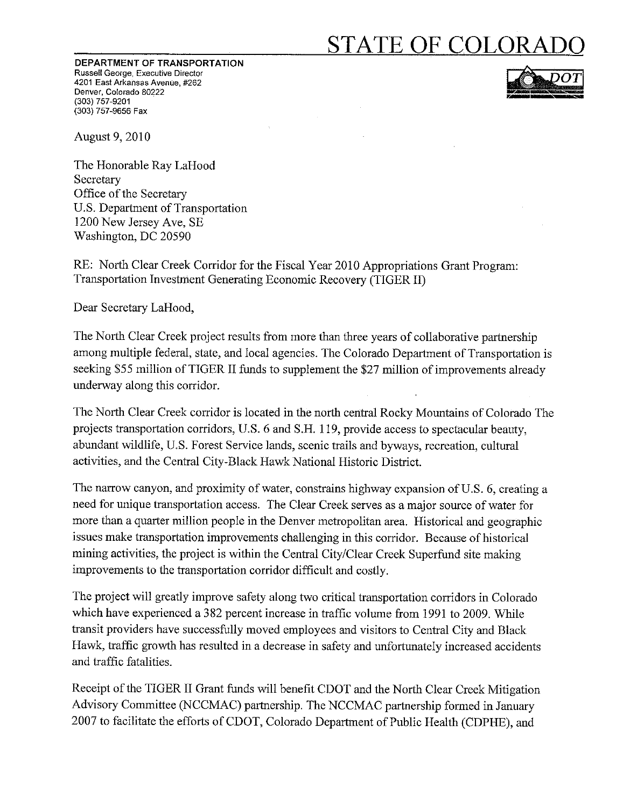# **STATE OF COLORADO**

DEPARTMENT OF TRANSPORTATION Russell George, Executive Director 4201 East Arkansas Avenue, #262 Denver, Colorado 80222 (303) 757-9201 (303) 757-9656 Fax



**August 9, 2010** 

The Honorable Ray LaHood Secretary Office of the Secretary U.S. Department of Transportation 1200 New Jersey Ave, SE Washington, DC 20590

RE: North Clear Creek Corridor for the Fiscal Year 2010 Appropriations Grant Program: Transportation Investment Generating Economic Recovery (TIGER II)

Dear Secretary LaHood,

The North Clear Creek project results from more than three years of collaborative partnership among multiple federal, state, and local agencies. The Colorado Department of Transportation is seeking \$55 million of TIGER II funds to supplement the \$27 million of improvements already underway along this corridor.

The North Clear Creek corridor is located in the north central Rocky Mountains of Colorado The projects transportation corridors, U.S. 6 and S.H. 119, provide access to spectacular beauty, abundant wildlife, U.S. Forest Service lands, scenic trails and byways, recreation, cultural activities, and the Central City-Black Hawk National Historic District.

The narrow canyon, and proximity of water, constrains highway expansion of U.S. 6, creating a need for unique transportation access. The Clear Creek serves as a major source of water for more than a quarter million people in the Denver metropolitan area. Historical and geographic issues make transportation improvements challenging in this corridor. Because of historical mining activities, the project is within the Central City/Clear Creek Superfund site making improvements to the transportation corridor difficult and costly.

The project will greatly improve safety along two critical transportation corridors in Colorado which have experienced a 382 percent increase in traffic volume from 1991 to 2009. While transit providers have successfully moved employees and visitors to Central City and Black Hawk, traffic growth has resulted in a decrease in safety and unfortunately increased accidents and traffic fatalities.

Receipt of the TIGER II Grant funds will benefit CDOT and the North Clear Creek Mitigation Advisory Committee (NCCMAC) partnership. The NCCMAC partnership formed in January 2007 to facilitate the efforts of CDOT, Colorado Department of Public Health (CDPHE), and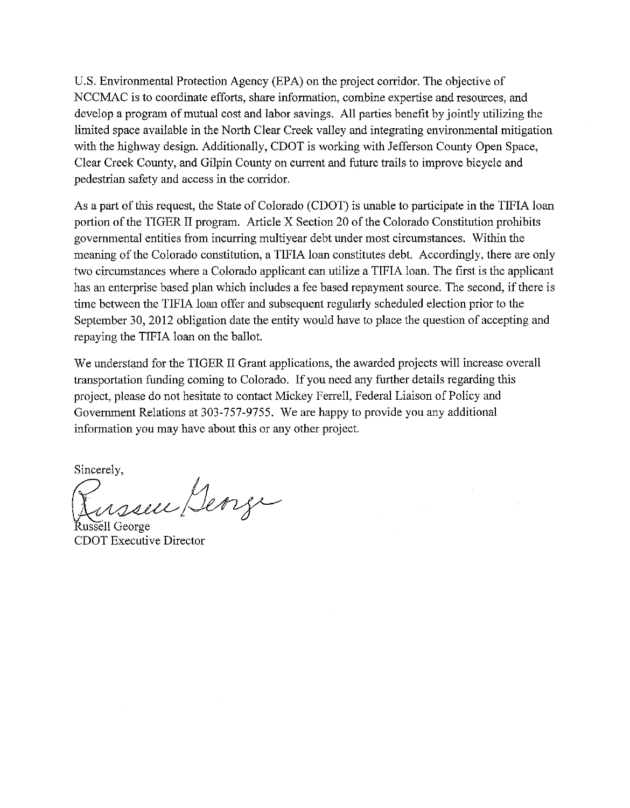U.S. Environmental Protection Agency (EPA) on the project corridor. The objective of NCCMAC is to coordinate efforts, share information, combine expertise and resources, and develop a program of mutual cost and labor savings. All parties benefit by jointly utilizing the limited space available in the North Clear Creek valley and integrating environmental mitigation with the highway design. Additionally, CDOT is working with Jefferson County Open Space, Clear Creek County, and Gilpin County on current and future trails to improve bicycle and pedestrian safety and access in the corridor.

As a part of this request, the State of Colorado (CDOT) is unable to participate in the TIFIA loan portion of the TIGER II program. Article X Section 20 of the Colorado Constitution prohibits governmental entities from incurring multiyear debt under most circumstances. Within the meaning of the Colorado constitution, a TIFIA loan constitutes debt. Accordingly, there are only two circumstances where a Colorado applicant can utilize a TIFIA loan. The first is the applicant has an enterprise based plan which includes a fee based repayment source. The second, if there is time between the TIFIA loan offer and subsequent regularly scheduled election prior to the September 30, 2012 obligation date the entity would have to place the question of accepting and repaying the TIFIA loan on the ballot.

We understand for the TIGER II Grant applications, the awarded projects will increase overall transportation funding coming to Colorado. If you need any further details regarding this project, please do not hesitate to contact Mickey Ferrell, Federal Liaison of Policy and Government Relations at 303-757-9755. We are happy to provide you any additional information you may have about this or any other project.

Sincerely.

insseu Denge ussell George

**CDOT Executive Director**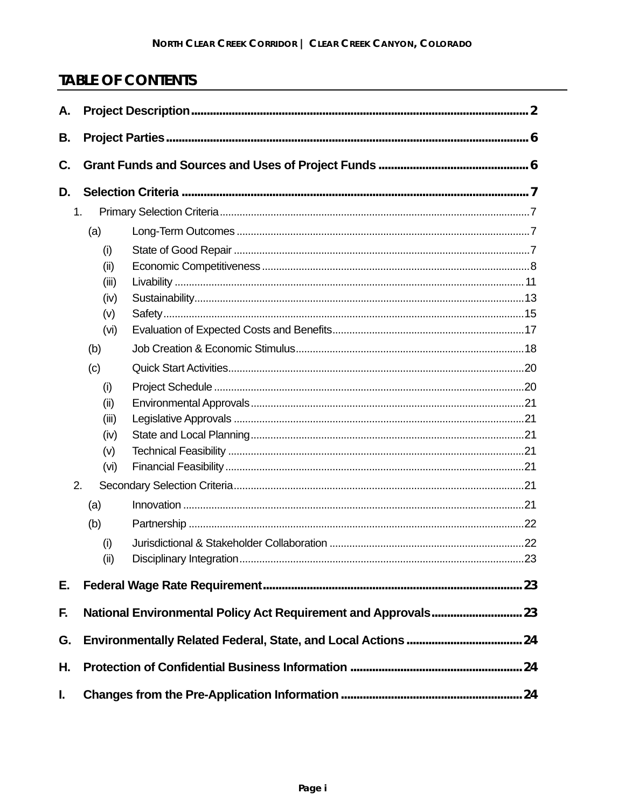# **TABLE OF CONTENTS**

| Α. |       |  |  |  |  |  |
|----|-------|--|--|--|--|--|
| В. |       |  |  |  |  |  |
| C. |       |  |  |  |  |  |
| D. |       |  |  |  |  |  |
| 1. |       |  |  |  |  |  |
|    | (a)   |  |  |  |  |  |
|    | (i)   |  |  |  |  |  |
|    | (ii)  |  |  |  |  |  |
|    | (iii) |  |  |  |  |  |
|    | (iv)  |  |  |  |  |  |
|    | (v)   |  |  |  |  |  |
|    | (vi)  |  |  |  |  |  |
|    | (b)   |  |  |  |  |  |
|    | (c)   |  |  |  |  |  |
|    | (i)   |  |  |  |  |  |
|    | (ii)  |  |  |  |  |  |
|    | (iii) |  |  |  |  |  |
|    | (iv)  |  |  |  |  |  |
|    | (v)   |  |  |  |  |  |
|    | (vi)  |  |  |  |  |  |
| 2. |       |  |  |  |  |  |
|    | (a)   |  |  |  |  |  |
|    | (b)   |  |  |  |  |  |
|    | (i)   |  |  |  |  |  |
|    | (ii)  |  |  |  |  |  |
| Е. |       |  |  |  |  |  |
| F. |       |  |  |  |  |  |
| G. |       |  |  |  |  |  |
| Η. |       |  |  |  |  |  |
| I. |       |  |  |  |  |  |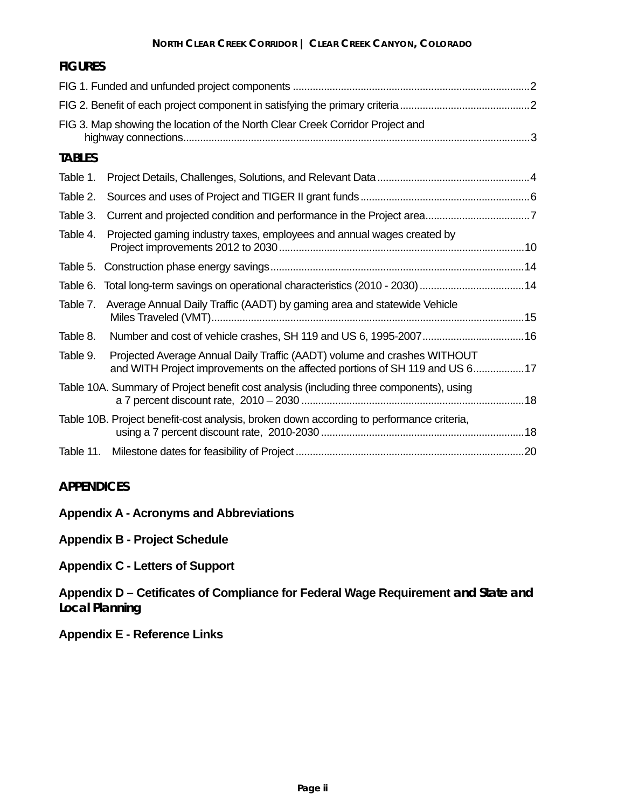| <b>FIGURES</b> |                                                                                                                                                          |  |
|----------------|----------------------------------------------------------------------------------------------------------------------------------------------------------|--|
|                |                                                                                                                                                          |  |
|                |                                                                                                                                                          |  |
|                | FIG 3. Map showing the location of the North Clear Creek Corridor Project and                                                                            |  |
| <b>TABLES</b>  |                                                                                                                                                          |  |
| Table 1.       |                                                                                                                                                          |  |
| Table 2.       |                                                                                                                                                          |  |
| Table 3.       |                                                                                                                                                          |  |
| Table 4.       | Projected gaming industry taxes, employees and annual wages created by                                                                                   |  |
| Table 5.       |                                                                                                                                                          |  |
| Table 6.       |                                                                                                                                                          |  |
| Table 7.       | Average Annual Daily Traffic (AADT) by gaming area and statewide Vehicle                                                                                 |  |
| Table 8.       |                                                                                                                                                          |  |
| Table 9.       | Projected Average Annual Daily Traffic (AADT) volume and crashes WITHOUT<br>and WITH Project improvements on the affected portions of SH 119 and US 6 17 |  |
|                | Table 10A. Summary of Project benefit cost analysis (including three components), using                                                                  |  |
|                | Table 10B. Project benefit-cost analysis, broken down according to performance criteria,                                                                 |  |
|                |                                                                                                                                                          |  |

#### **APPENDICES**

- **Appendix A Acronyms and Abbreviations**
- **Appendix B Project Schedule**

**Appendix C - Letters of Support** 

**Appendix D – Cetificates of Compliance for Federal Wage Requirement and State and Local Planning** 

**Appendix E - Reference Links**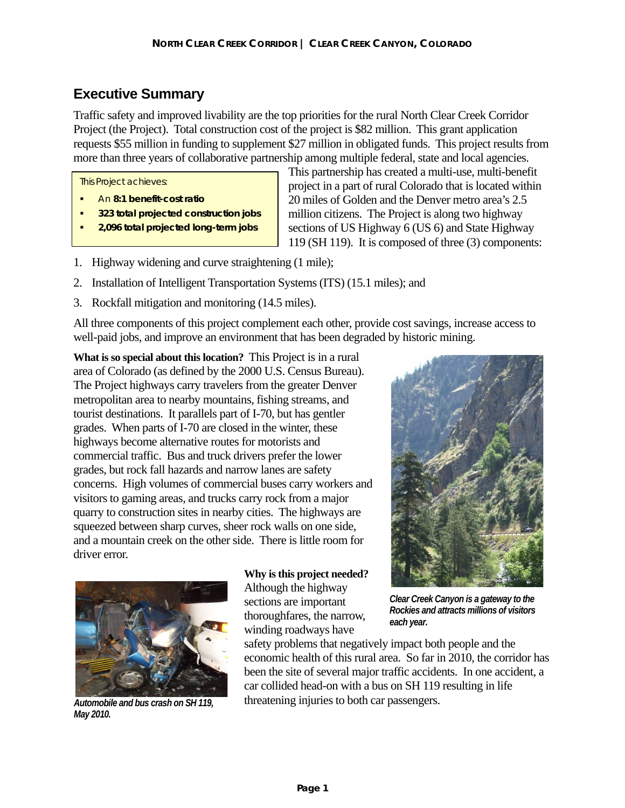# **Executive Summary**

Traffic safety and improved livability are the top priorities for the rural North Clear Creek Corridor Project (the Project). Total construction cost of the project is \$82 million. This grant application requests \$55 million in funding to supplement \$27 million in obligated funds. This project results from more than three years of collaborative partnership among multiple federal, state and local agencies.

This Project achieves:

- An **8:1 benefit-cost ratio**
- **323 total projected construction jobs**
- **2,096 total projected long-term jobs**

This partnership has created a multi-use, multi-benefit project in a part of rural Colorado that is located within 20 miles of Golden and the Denver metro area's 2.5 million citizens. The Project is along two highway sections of US Highway 6 (US 6) and State Highway 119 (SH 119). It is composed of three (3) components:

- 1. Highway widening and curve straightening (1 mile);
- 2. Installation of Intelligent Transportation Systems (ITS) (15.1 miles); and
- 3. Rockfall mitigation and monitoring (14.5 miles).

All three components of this project complement each other, provide cost savings, increase access to well-paid jobs, and improve an environment that has been degraded by historic mining.

**What is so special about this location?** This Project is in a rural area of Colorado (as defined by the 2000 U.S. Census Bureau). The Project highways carry travelers from the greater Denver metropolitan area to nearby mountains, fishing streams, and tourist destinations. It parallels part of I-70, but has gentler grades. When parts of I-70 are closed in the winter, these highways become alternative routes for motorists and commercial traffic. Bus and truck drivers prefer the lower grades, but rock fall hazards and narrow lanes are safety concerns. High volumes of commercial buses carry workers and visitors to gaming areas, and trucks carry rock from a major quarry to construction sites in nearby cities. The highways are squeezed between sharp curves, sheer rock walls on one side, and a mountain creek on the other side. There is little room for driver error.



*Automobile and bus crash on SH 119, May 2010.* 

**Why is this project needed?** Although the highway sections are important thoroughfares, the narrow, winding roadways have



safety problems that negatively impact both people and the economic health of this rural area. So far in 2010, the corridor has been the site of several major traffic accidents. In one accident, a car collided head-on with a bus on SH 119 resulting in life threatening injuries to both car passengers.

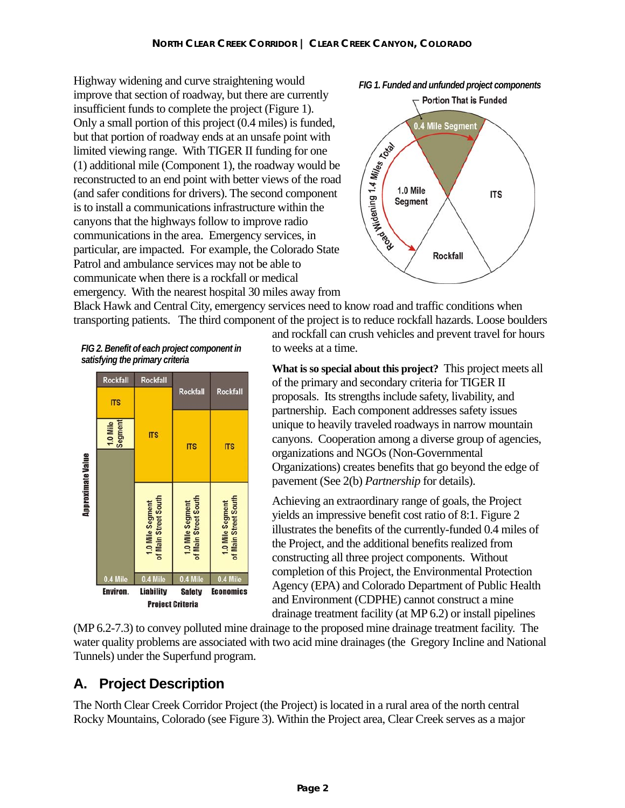Highway widening and curve straightening would *FIG 1. Funded and unfunded project components*  improve that section of roadway, but there are currently insufficient funds to complete the project (Figure 1). Only a small portion of this project (0.4 miles) is funded, but that portion of roadway ends at an unsafe point with limited viewing range. With TIGER II funding for one (1) additional mile (Component 1), the roadway would be reconstructed to an end point with better views of the road (and safer conditions for drivers). The second component is to install a communications infrastructure within the canyons that the highways follow to improve radio communications in the area. Emergency services, in particular, are impacted. For example, the Colorado State Patrol and ambulance services may not be able to communicate when there is a rockfall or medical emergency. With the nearest hospital 30 miles away from



Black Hawk and Central City, emergency services need to know road and traffic conditions when transporting patients. The third component of the project is to reduce rockfall hazards. Loose boulders

*FIG 2. Benefit of each project component in satisfying the primary criteria* 



and rockfall can crush vehicles and prevent travel for hours to weeks at a time.

**What is so special about this project?** This project meets all of the primary and secondary criteria for TIGER II proposals. Its strengths include safety, livability, and partnership. Each component addresses safety issues unique to heavily traveled roadways in narrow mountain canyons. Cooperation among a diverse group of agencies, organizations and NGOs (Non-Governmental Organizations) creates benefits that go beyond the edge of pavement (See 2(b) *Partnership* for details).

Achieving an extraordinary range of goals, the Project yields an impressive benefit cost ratio of 8:1. Figure 2 illustrates the benefits of the currently-funded 0.4 miles of the Project, and the additional benefits realized from constructing all three project components. Without completion of this Project, the Environmental Protection Agency (EPA) and Colorado Department of Public Health and Environment (CDPHE) cannot construct a mine drainage treatment facility (at MP 6.2) or install pipelines

(MP 6.2-7.3) to convey polluted mine drainage to the proposed mine drainage treatment facility. The water quality problems are associated with two acid mine drainages (the Gregory Incline and National Tunnels) under the Superfund program.

# **A. Project Description**

The North Clear Creek Corridor Project (the Project) is located in a rural area of the north central Rocky Mountains, Colorado (see Figure 3). Within the Project area, Clear Creek serves as a major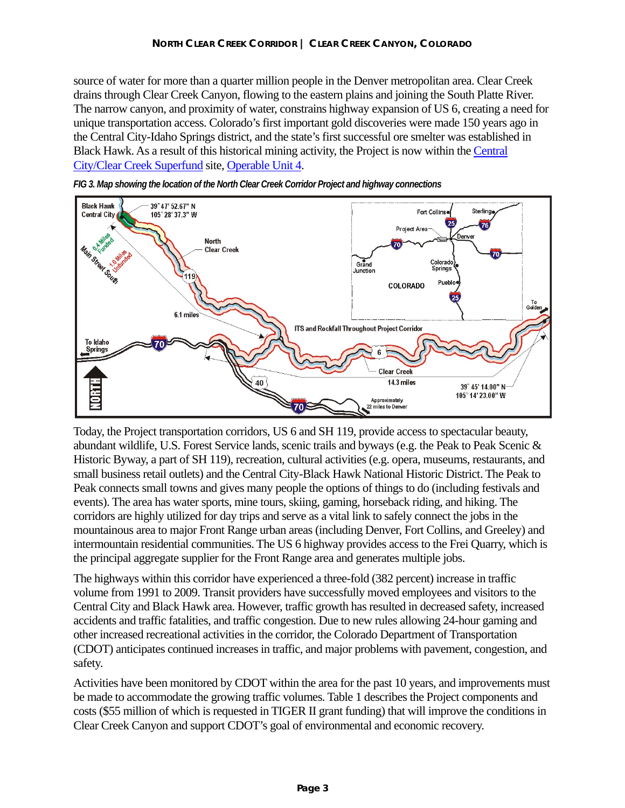source of water for more than a quarter million people in the Denver metropolitan area. Clear Creek drains through Clear Creek Canyon, flowing to the eastern plains and joining the South Platte River. The narrow canyon, and proximity of water, constrains highway expansion of US 6, creating a need for unique transportation access. Colorado's first important gold discoveries were made 150 years ago in the Central City-Idaho Springs district, and the state's first successful ore smelter was established in Black Hawk. As a result of this historical mining activity, the Project is now within the Central City/Clear Creek Superfund site, Operable Unit 4.





Today, the Project transportation corridors, US 6 and SH 119, provide access to spectacular beauty, abundant wildlife, U.S. Forest Service lands, scenic trails and byways (e.g. the Peak to Peak Scenic & Historic Byway, a part of SH 119), recreation, cultural activities (e.g. opera, museums, restaurants, and small business retail outlets) and the Central City-Black Hawk National Historic District. The Peak to Peak connects small towns and gives many people the options of things to do (including festivals and events). The area has water sports, mine tours, skiing, gaming, horseback riding, and hiking. The corridors are highly utilized for day trips and serve as a vital link to safely connect the jobs in the mountainous area to major Front Range urban areas (including Denver, Fort Collins, and Greeley) and intermountain residential communities. The US 6 highway provides access to the Frei Quarry, which is the principal aggregate supplier for the Front Range area and generates multiple jobs.

The highways within this corridor have experienced a three-fold (382 percent) increase in traffic volume from 1991 to 2009. Transit providers have successfully moved employees and visitors to the Central City and Black Hawk area. However, traffic growth has resulted in decreased safety, increased accidents and traffic fatalities, and traffic congestion. Due to new rules allowing 24-hour gaming and other increased recreational activities in the corridor, the Colorado Department of Transportation (CDOT) anticipates continued increases in traffic, and major problems with pavement, congestion, and safety.

Activities have been monitored by CDOT within the area for the past 10 years, and improvements must be made to accommodate the growing traffic volumes. Table 1 describes the Project components and costs (\$55 million of which is requested in TIGER II grant funding) that will improve the conditions in Clear Creek Canyon and support CDOT's goal of environmental and economic recovery.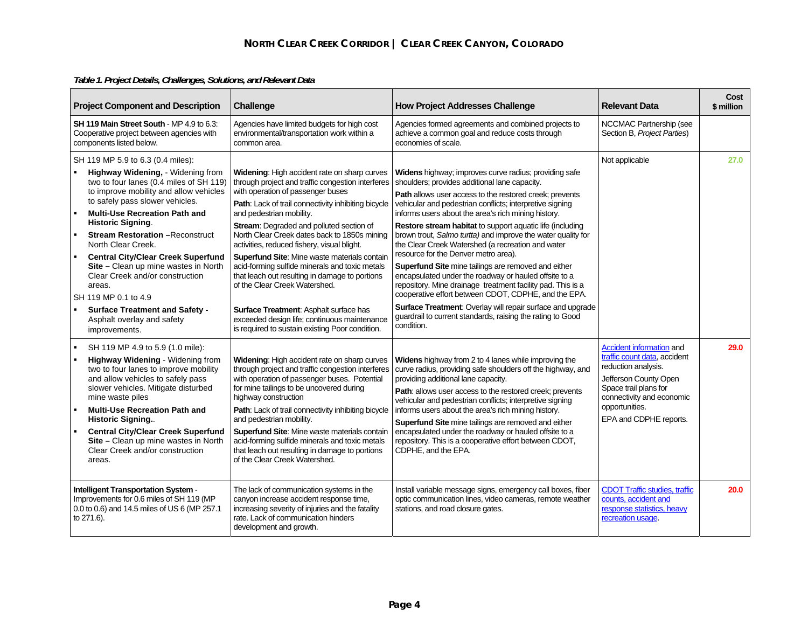| <b>Project Component and Description</b>                                                                                                             |                                                                                                                                                                                                                                                                                                                                                                                                                                                                                                                                                                                       | Challenge                                                                                                                                                                                                                                                                                                                                                                                                                                                                                                                                                                                                                                                                                                     | <b>How Project Addresses Challenge</b>                                                                                                                                                                                                                                                                                                                                                                                                                                                                                                                                                                                                                                                                                                                                                                                                                                                                 | <b>Relevant Data</b>                                                                                                                                                                                              | Cost<br>\$ million |
|------------------------------------------------------------------------------------------------------------------------------------------------------|---------------------------------------------------------------------------------------------------------------------------------------------------------------------------------------------------------------------------------------------------------------------------------------------------------------------------------------------------------------------------------------------------------------------------------------------------------------------------------------------------------------------------------------------------------------------------------------|---------------------------------------------------------------------------------------------------------------------------------------------------------------------------------------------------------------------------------------------------------------------------------------------------------------------------------------------------------------------------------------------------------------------------------------------------------------------------------------------------------------------------------------------------------------------------------------------------------------------------------------------------------------------------------------------------------------|--------------------------------------------------------------------------------------------------------------------------------------------------------------------------------------------------------------------------------------------------------------------------------------------------------------------------------------------------------------------------------------------------------------------------------------------------------------------------------------------------------------------------------------------------------------------------------------------------------------------------------------------------------------------------------------------------------------------------------------------------------------------------------------------------------------------------------------------------------------------------------------------------------|-------------------------------------------------------------------------------------------------------------------------------------------------------------------------------------------------------------------|--------------------|
| <b>SH 119 Main Street South - MP 4.9 to 6.3:</b><br>Cooperative project between agencies with<br>components listed below.                            |                                                                                                                                                                                                                                                                                                                                                                                                                                                                                                                                                                                       | Agencies have limited budgets for high cost<br>environmental/transportation work within a<br>common area.                                                                                                                                                                                                                                                                                                                                                                                                                                                                                                                                                                                                     | Agencies formed agreements and combined projects to<br>achieve a common goal and reduce costs through<br>economies of scale.                                                                                                                                                                                                                                                                                                                                                                                                                                                                                                                                                                                                                                                                                                                                                                           | NCCMAC Partnership (see<br>Section B, Project Parties)                                                                                                                                                            |                    |
| $\blacksquare$                                                                                                                                       | SH 119 MP 5.9 to 6.3 (0.4 miles):<br>Highway Widening, - Widening from<br>two to four lanes (0.4 miles of SH 119)<br>to improve mobility and allow vehicles<br>to safely pass slower vehicles.<br><b>Multi-Use Recreation Path and</b><br><b>Historic Signing.</b><br><b>Stream Restoration - Reconstruct</b><br>North Clear Creek.<br><b>Central City/Clear Creek Superfund</b><br>Site - Clean up mine wastes in North<br>Clear Creek and/or construction<br>areas.<br>SH 119 MP 0.1 to 4.9<br><b>Surface Treatment and Safety -</b><br>Asphalt overlay and safety<br>improvements. | Widening: High accident rate on sharp curves<br>through project and traffic congestion interferes<br>with operation of passenger buses<br>Path: Lack of trail connectivity inhibiting bicycle<br>and pedestrian mobility.<br>Stream: Degraded and polluted section of<br>North Clear Creek dates back to 1850s mining<br>activities, reduced fishery, visual blight.<br><b>Superfund Site: Mine waste materials contain</b><br>acid-forming sulfide minerals and toxic metals<br>that leach out resulting in damage to portions<br>of the Clear Creek Watershed.<br>Surface Treatment: Asphalt surface has<br>exceeded design life; continuous maintenance<br>is required to sustain existing Poor condition. | Widens highway; improves curve radius; providing safe<br>shoulders; provides additional lane capacity.<br>Path allows user access to the restored creek; prevents<br>vehicular and pedestrian conflicts; interpretive signing<br>informs users about the area's rich mining history.<br>Restore stream habitat to support aquatic life (including<br>brown trout, Salmo turtta) and improve the water quality for<br>the Clear Creek Watershed (a recreation and water<br>resource for the Denver metro area).<br><b>Superfund Site mine tailings are removed and either</b><br>encapsulated under the roadway or hauled offsite to a<br>repository. Mine drainage treatment facility pad. This is a<br>cooperative effort between CDOT, CDPHE, and the EPA.<br>Surface Treatment: Overlay will repair surface and upgrade<br>guardrail to current standards, raising the rating to Good<br>condition. | Not applicable                                                                                                                                                                                                    | 27.0               |
| $\blacksquare$                                                                                                                                       | SH 119 MP 4.9 to 5.9 (1.0 mile):<br>Highway Widening - Widening from<br>two to four lanes to improve mobility<br>and allow vehicles to safely pass<br>slower vehicles. Mitigate disturbed<br>mine waste piles<br><b>Multi-Use Recreation Path and</b><br><b>Historic Signing</b><br><b>Central City/Clear Creek Superfund</b><br>Site - Clean up mine wastes in North<br>Clear Creek and/or construction<br>areas.                                                                                                                                                                    | Widening: High accident rate on sharp curves<br>through project and traffic congestion interferes<br>with operation of passenger buses. Potential<br>for mine tailings to be uncovered during<br>highway construction<br>Path: Lack of trail connectivity inhibiting bicycle<br>and pedestrian mobility.<br>Superfund Site: Mine waste materials contain<br>acid-forming sulfide minerals and toxic metals<br>that leach out resulting in damage to portions<br>of the Clear Creek Watershed.                                                                                                                                                                                                                 | Widens highway from 2 to 4 lanes while improving the<br>curve radius, providing safe shoulders off the highway, and<br>providing additional lane capacity.<br>Path: allows user access to the restored creek; prevents<br>vehicular and pedestrian conflicts; interpretive signing<br>informs users about the area's rich mining history.<br>Superfund Site mine tailings are removed and either<br>encapsulated under the roadway or hauled offsite to a<br>repository. This is a cooperative effort between CDOT,<br>CDPHE, and the EPA.                                                                                                                                                                                                                                                                                                                                                             | <b>Accident information and</b><br>traffic count data, accident<br>reduction analysis.<br>Jefferson County Open<br>Space trail plans for<br>connectivity and economic<br>opportunities.<br>EPA and CDPHE reports. | 29.0               |
| <b>Intelligent Transportation System -</b><br>Improvements for 0.6 miles of SH 119 (MP<br>0.0 to 0.6) and 14.5 miles of US 6 (MP 257.1<br>to 271.6). |                                                                                                                                                                                                                                                                                                                                                                                                                                                                                                                                                                                       | The lack of communication systems in the<br>canyon increase accident response time,<br>increasing severity of injuries and the fatality<br>rate. Lack of communication hinders<br>development and growth.                                                                                                                                                                                                                                                                                                                                                                                                                                                                                                     | Install variable message signs, emergency call boxes, fiber<br>optic communication lines, video cameras, remote weather<br>stations, and road closure gates.                                                                                                                                                                                                                                                                                                                                                                                                                                                                                                                                                                                                                                                                                                                                           | <b>CDOT Traffic studies, traffic</b><br>counts, accident and<br>response statistics, heavy<br>recreation usage.                                                                                                   | 20.0               |

### *Table 1. Project Details, Challenges, Solutions, and Relevant Data*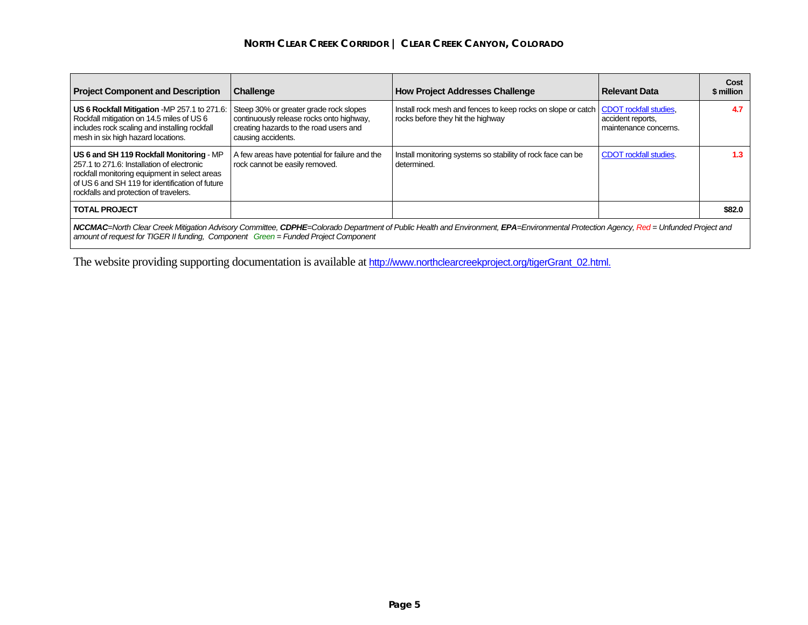#### **NORTH CLEAR CREEK CORRIDOR | CLEAR CREEK CANYON, COLORADO**

| <b>Project Component and Description</b>                                                                                                                                                                                                                                  | Challenge                                                                                                                                          | <b>How Project Addresses Challenge</b>                                                                                     | Relevant Data                              | Cost<br>\$ million |  |  |
|---------------------------------------------------------------------------------------------------------------------------------------------------------------------------------------------------------------------------------------------------------------------------|----------------------------------------------------------------------------------------------------------------------------------------------------|----------------------------------------------------------------------------------------------------------------------------|--------------------------------------------|--------------------|--|--|
| US 6 Rockfall Mitigation -MP 257.1 to 271.6<br>Rockfall mitigation on 14.5 miles of US 6<br>includes rock scaling and installing rockfall<br>mesh in six high hazard locations.                                                                                           | Steep 30% or greater grade rock slopes<br>continuously release rocks onto highway,<br>creating hazards to the road users and<br>causing accidents. | Install rock mesh and fences to keep rocks on slope or catch   CDOT rockfall studies,<br>rocks before they hit the highway | accident reports.<br>maintenance concerns. | 4.7                |  |  |
| US 6 and SH 119 Rockfall Monitoring - MP<br>257.1 to 271.6: Installation of electronic<br>rockfall monitoring equipment in select areas<br>of US 6 and SH 119 for identification of future<br>rockfalls and protection of travelers.                                      | A few areas have potential for failure and the<br>rock cannot be easily removed.                                                                   | Install monitoring systems so stability of rock face can be<br>determined.                                                 | <b>CDOT</b> rockfall studies.              | 1.3                |  |  |
| <b>TOTAL PROJECT</b>                                                                                                                                                                                                                                                      |                                                                                                                                                    |                                                                                                                            |                                            | \$82.0             |  |  |
| NCCMAC=North Clear Creek Mitigation Advisory Committee, CDPHE=Colorado Department of Public Health and Environment, EPA=Environmental Protection Agency, Red = Unfunded Project and<br>amount of request for TIGER II funding, Component Green = Funded Project Component |                                                                                                                                                    |                                                                                                                            |                                            |                    |  |  |

The website providing supporting documentation is available at http://www.northclearcreekproject.org/tigerGrant\_02.html.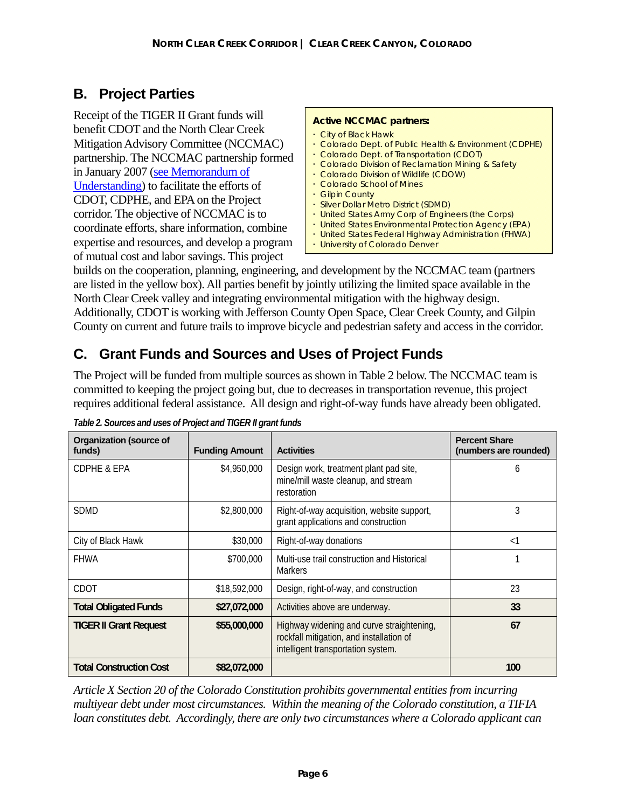# **B. Project Parties**

Receipt of the TIGER II Grant funds will benefit CDOT and the North Clear Creek Mitigation Advisory Committee (NCCMAC) partnership. The NCCMAC partnership formed in January 2007 (see Memorandum of Understanding) to facilitate the efforts of CDOT, CDPHE, and EPA on the Project corridor. The objective of NCCMAC is to coordinate efforts, share information, combine expertise and resources, and develop a program of mutual cost and labor savings. This project

#### **Active NCCMAC partners:**

- City of Black Hawk
- Colorado Dept. of Public Health & Environment (CDPHE)
- Colorado Dept. of Transportation (CDOT)
- Colorado Division of Reclamation Mining & Safety
- Colorado Division of Wildlife (CDOW)
- Colorado School of Mines
- Gilpin County
- Silver Dollar Metro District (SDMD)
- United States Army Corp of Engineers (the Corps)
- United States Environmental Protection Agency (EPA)
- United States Federal Highway Administration (FHWA)
- University of Colorado Denver

builds on the cooperation, planning, engineering, and development by the NCCMAC team (partners are listed in the yellow box). All parties benefit by jointly utilizing the limited space available in the North Clear Creek valley and integrating environmental mitigation with the highway design. Additionally, CDOT is working with Jefferson County Open Space, Clear Creek County, and Gilpin County on current and future trails to improve bicycle and pedestrian safety and access in the corridor.

# **C. Grant Funds and Sources and Uses of Project Funds**

The Project will be funded from multiple sources as shown in Table 2 below. The NCCMAC team is committed to keeping the project going but, due to decreases in transportation revenue, this project requires additional federal assistance. All design and right-of-way funds have already been obligated.

| <b>Organization (source of</b><br>funds) | <b>Funding Amount</b> | <b>Activities</b>                                                                                                           | <b>Percent Share</b><br>(numbers are rounded) |
|------------------------------------------|-----------------------|-----------------------------------------------------------------------------------------------------------------------------|-----------------------------------------------|
| <b>CDPHE &amp; EPA</b>                   | \$4,950,000           | Design work, treatment plant pad site,<br>mine/mill waste cleanup, and stream<br>restoration                                | 6                                             |
| <b>SDMD</b><br>\$2,800,000               |                       | Right-of-way acquisition, website support,<br>grant applications and construction                                           | 3                                             |
| City of Black Hawk                       | \$30,000              | Right-of-way donations                                                                                                      | $\leq$ 1                                      |
| <b>FHWA</b>                              | \$700,000             | Multi-use trail construction and Historical<br><b>Markers</b>                                                               |                                               |
| CDOT                                     | \$18,592,000          | Design, right-of-way, and construction                                                                                      | 23                                            |
| <b>Total Obligated Funds</b>             | \$27,072,000          | Activities above are underway.                                                                                              | 33                                            |
| <b>TIGER II Grant Request</b>            | \$55,000,000          | Highway widening and curve straightening,<br>rockfall mitigation, and installation of<br>intelligent transportation system. | 67                                            |
| <b>Total Construction Cost</b>           | \$82,072,000          |                                                                                                                             | 100                                           |

*Table 2. Sources and uses of Project and TIGER II grant funds* 

*Article X Section 20 of the Colorado Constitution prohibits governmental entities from incurring multiyear debt under most circumstances. Within the meaning of the Colorado constitution, a TIFIA loan constitutes debt. Accordingly, there are only two circumstances where a Colorado applicant can*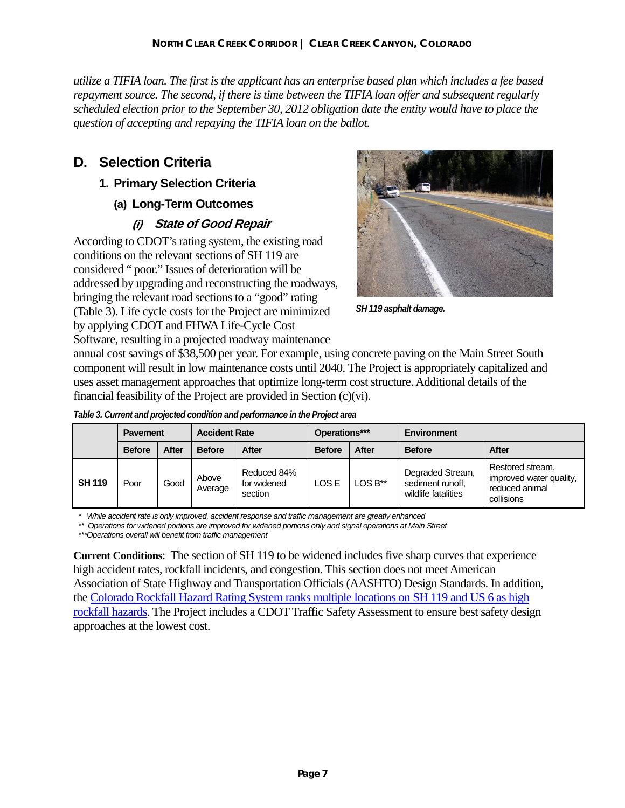*utilize a TIFIA loan. The first is the applicant has an enterprise based plan which includes a fee based repayment source. The second, if there is time between the TIFIA loan offer and subsequent regularly scheduled election prior to the September 30, 2012 obligation date the entity would have to place the question of accepting and repaying the TIFIA loan on the ballot.* 

# **D. Selection Criteria**

## **1. Primary Selection Criteria**

### **(a) Long-Term Outcomes**

# **(i) State of Good Repair**

According to CDOT's rating system, the existing road conditions on the relevant sections of SH 119 are considered " poor." Issues of deterioration will be addressed by upgrading and reconstructing the roadways, bringing the relevant road sections to a "good" rating (Table 3). Life cycle costs for the Project are minimized by applying CDOT and FHWA Life-Cycle Cost Software, resulting in a projected roadway maintenance



*SH 119 asphalt damage.* 

annual cost savings of \$38,500 per year. For example, using concrete paving on the Main Street South component will result in low maintenance costs until 2040. The Project is appropriately capitalized and uses asset management approaches that optimize long-term cost structure. Additional details of the financial feasibility of the Project are provided in Section (c)(vi).

|  | Table 3. Current and projected condition and performance in the Project area |  |
|--|------------------------------------------------------------------------------|--|
|  |                                                                              |  |

|               | <b>Pavement</b> |              | <b>Accident Rate</b> |                                       | Operations*** |         | Environment                                                 |                                                                             |
|---------------|-----------------|--------------|----------------------|---------------------------------------|---------------|---------|-------------------------------------------------------------|-----------------------------------------------------------------------------|
|               | <b>Before</b>   | <b>After</b> | <b>Before</b>        | <b>After</b>                          | <b>Before</b> | After   | <b>Before</b>                                               | After                                                                       |
| <b>SH 119</b> | Poor            | Good         | Above<br>Average     | Reduced 84%<br>for widened<br>section | LOS E         | LOS B** | Degraded Stream,<br>sediment runoff,<br>wildlife fatalities | Restored stream,<br>improved water quality,<br>reduced animal<br>collisions |

*\* While accident rate is only improved, accident response and traffic management are greatly enhanced* 

*\*\* Operations for widened portions are improved for widened portions only and signal operations at Main Street* 

*\*\*\*Operations overall will benefit from traffic management* 

**Current Conditions**: The section of SH 119 to be widened includes five sharp curves that experience high accident rates, rockfall incidents, and congestion. This section does not meet American Association of State Highway and Transportation Officials (AASHTO) Design Standards. In addition, the Colorado Rockfall Hazard Rating System ranks multiple locations on SH 119 and US 6 as high rockfall hazards. The Project includes a CDOT Traffic Safety Assessment to ensure best safety design approaches at the lowest cost.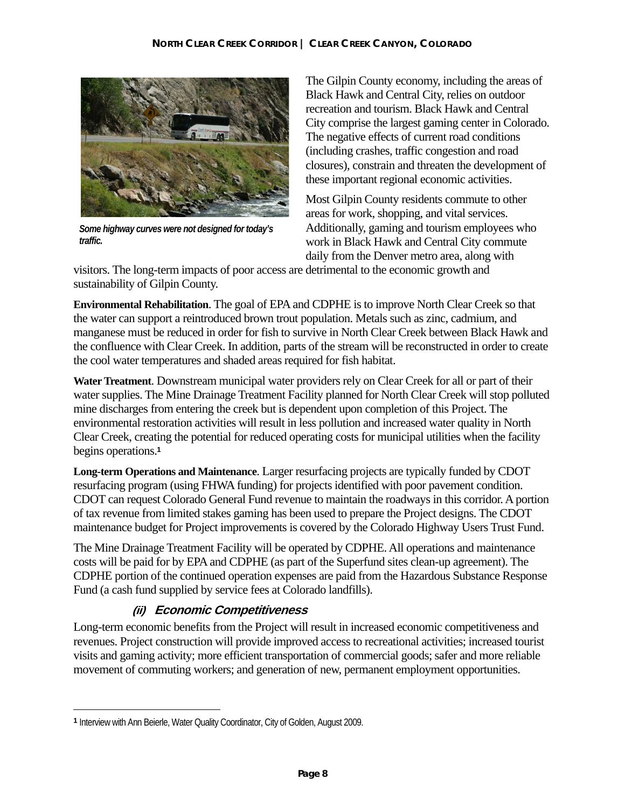

*Some highway curves were not designed for today's traffic.* 

The Gilpin County economy, including the areas of Black Hawk and Central City, relies on outdoor recreation and tourism. Black Hawk and Central City comprise the largest gaming center in Colorado. The negative effects of current road conditions (including crashes, traffic congestion and road closures), constrain and threaten the development of these important regional economic activities.

Most Gilpin County residents commute to other areas for work, shopping, and vital services. Additionally, gaming and tourism employees who work in Black Hawk and Central City commute daily from the Denver metro area, along with

visitors. The long-term impacts of poor access are detrimental to the economic growth and sustainability of Gilpin County.

**Environmental Rehabilitation**. The goal of EPA and CDPHE is to improve North Clear Creek so that the water can support a reintroduced brown trout population. Metals such as zinc, cadmium, and manganese must be reduced in order for fish to survive in North Clear Creek between Black Hawk and the confluence with Clear Creek. In addition, parts of the stream will be reconstructed in order to create the cool water temperatures and shaded areas required for fish habitat.

**Water Treatment**. Downstream municipal water providers rely on Clear Creek for all or part of their water supplies. The Mine Drainage Treatment Facility planned for North Clear Creek will stop polluted mine discharges from entering the creek but is dependent upon completion of this Project. The environmental restoration activities will result in less pollution and increased water quality in North Clear Creek, creating the potential for reduced operating costs for municipal utilities when the facility begins operations.**<sup>1</sup>**

**Long-term Operations and Maintenance**. Larger resurfacing projects are typically funded by CDOT resurfacing program (using FHWA funding) for projects identified with poor pavement condition. CDOT can request Colorado General Fund revenue to maintain the roadways in this corridor. A portion of tax revenue from limited stakes gaming has been used to prepare the Project designs. The CDOT maintenance budget for Project improvements is covered by the Colorado Highway Users Trust Fund.

The Mine Drainage Treatment Facility will be operated by CDPHE. All operations and maintenance costs will be paid for by EPA and CDPHE (as part of the Superfund sites clean-up agreement). The CDPHE portion of the continued operation expenses are paid from the Hazardous Substance Response Fund (a cash fund supplied by service fees at Colorado landfills).

# **(ii) Economic Competitiveness**

Long-term economic benefits from the Project will result in increased economic competitiveness and revenues. Project construction will provide improved access to recreational activities; increased tourist visits and gaming activity; more efficient transportation of commercial goods; safer and more reliable movement of commuting workers; and generation of new, permanent employment opportunities.

 $\overline{a}$ 

**<sup>1</sup>** Interview with Ann Beierle, Water Quality Coordinator, City of Golden, August 2009.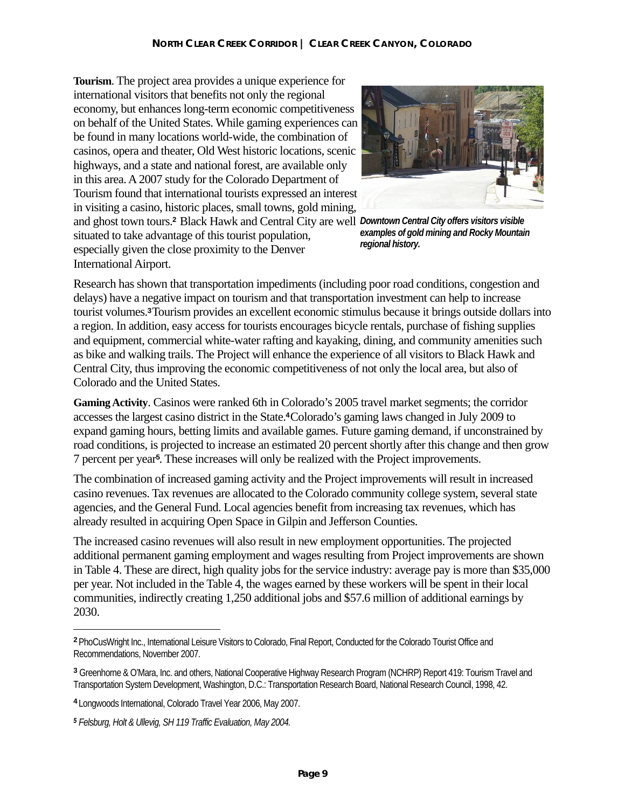*Downtown Central City offers visitors visible*  and ghost town tours.**2** Black Hawk and Central City are well **Tourism**. The project area provides a unique experience for international visitors that benefits not only the regional economy, but enhances long-term economic competitiveness on behalf of the United States. While gaming experiences can be found in many locations world-wide, the combination of casinos, opera and theater, Old West historic locations, scenic highways, and a state and national forest, are available only in this area. A 2007 study for the Colorado Department of Tourism found that international tourists expressed an interest in visiting a casino, historic places, small towns, gold mining, situated to take advantage of this tourist population, especially given the close proximity to the Denver International Airport.



*examples of gold mining and Rocky Mountain regional history.* 

Research has shown that transportation impediments (including poor road conditions, congestion and delays) have a negative impact on tourism and that transportation investment can help to increase tourist volumes.**3** Tourism provides an excellent economic stimulus because it brings outside dollars into a region. In addition, easy access for tourists encourages bicycle rentals, purchase of fishing supplies and equipment, commercial white-water rafting and kayaking, dining, and community amenities such as bike and walking trails. The Project will enhance the experience of all visitors to Black Hawk and Central City, thus improving the economic competitiveness of not only the local area, but also of Colorado and the United States.

**Gaming Activity**. Casinos were ranked 6th in Colorado's 2005 travel market segments; the corridor accesses the largest casino district in the State.**4** Colorado's gaming laws changed in July 2009 to expand gaming hours, betting limits and available games. Future gaming demand, if unconstrained by road conditions, is projected to increase an estimated 20 percent shortly after this change and then grow 7 percent per year**5**. These increases will only be realized with the Project improvements.

The combination of increased gaming activity and the Project improvements will result in increased casino revenues. Tax revenues are allocated to the Colorado community college system, several state agencies, and the General Fund. Local agencies benefit from increasing tax revenues, which has already resulted in acquiring Open Space in Gilpin and Jefferson Counties.

The increased casino revenues will also result in new employment opportunities. The projected additional permanent gaming employment and wages resulting from Project improvements are shown in Table 4. These are direct, high quality jobs for the service industry: average pay is more than \$35,000 per year. Not included in the Table 4, the wages earned by these workers will be spent in their local communities, indirectly creating 1,250 additional jobs and \$57.6 million of additional earnings by 2030.

 $\overline{a}$ 

**<sup>2</sup>** PhoCusWright Inc., International Leisure Visitors to Colorado, Final Report, Conducted for the Colorado Tourist Office and Recommendations, November 2007.

**<sup>3</sup>**Greenhorne & O'Mara, Inc. and others, National Cooperative Highway Research Program (NCHRP) Report 419: Tourism Travel and Transportation System Development, Washington, D.C.: Transportation Research Board, National Research Council, 1998, 42.

**<sup>4</sup>** Longwoods International, Colorado Travel Year 2006, May 2007.

*<sup>5</sup> Felsburg, Holt & Ullevig, SH 119 Traffic Evaluation, May 2004.*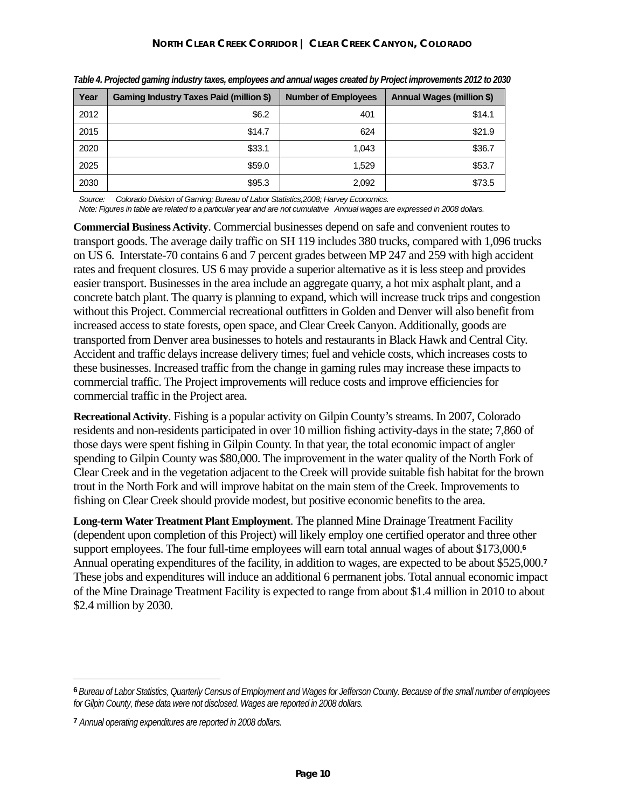| Year | Gaming Industry Taxes Paid (million \$) | <b>Number of Employees</b> | <b>Annual Wages (million \$)</b> |
|------|-----------------------------------------|----------------------------|----------------------------------|
| 2012 | \$6.2                                   | 401                        | \$14.1                           |
| 2015 | \$14.7                                  | 624                        | \$21.9                           |
| 2020 | \$33.1                                  | 1,043                      | \$36.7                           |
| 2025 | \$59.0                                  | 1,529                      | \$53.7                           |
| 2030 | \$95.3                                  | 2,092                      | \$73.5                           |

*Table 4. Projected gaming industry taxes, employees and annual wages created by Project improvements 2012 to 2030* 

*Source: Colorado Division of Gaming; Bureau of Labor Statistics,2008; Harvey Economics.* 

*Note: Figures in table are related to a particular year and are not cumulative Annual wages are expressed in 2008 dollars.* 

**Commercial Business Activity**. Commercial businesses depend on safe and convenient routes to transport goods. The average daily traffic on SH 119 includes 380 trucks, compared with 1,096 trucks on US 6. Interstate-70 contains 6 and 7 percent grades between MP 247 and 259 with high accident rates and frequent closures. US 6 may provide a superior alternative as it is less steep and provides easier transport. Businesses in the area include an aggregate quarry, a hot mix asphalt plant, and a concrete batch plant. The quarry is planning to expand, which will increase truck trips and congestion without this Project. Commercial recreational outfitters in Golden and Denver will also benefit from increased access to state forests, open space, and Clear Creek Canyon. Additionally, goods are transported from Denver area businesses to hotels and restaurants in Black Hawk and Central City. Accident and traffic delays increase delivery times; fuel and vehicle costs, which increases costs to these businesses. Increased traffic from the change in gaming rules may increase these impacts to commercial traffic. The Project improvements will reduce costs and improve efficiencies for commercial traffic in the Project area.

**Recreational Activity**. Fishing is a popular activity on Gilpin County's streams. In 2007, Colorado residents and non-residents participated in over 10 million fishing activity-days in the state; 7,860 of those days were spent fishing in Gilpin County. In that year, the total economic impact of angler spending to Gilpin County was \$80,000. The improvement in the water quality of the North Fork of Clear Creek and in the vegetation adjacent to the Creek will provide suitable fish habitat for the brown trout in the North Fork and will improve habitat on the main stem of the Creek. Improvements to fishing on Clear Creek should provide modest, but positive economic benefits to the area.

**Long-term Water Treatment Plant Employment**. The planned Mine Drainage Treatment Facility (dependent upon completion of this Project) will likely employ one certified operator and three other support employees. The four full-time employees will earn total annual wages of about \$173,000.**<sup>6</sup>** Annual operating expenditures of the facility, in addition to wages, are expected to be about \$525,000.**<sup>7</sup>** These jobs and expenditures will induce an additional 6 permanent jobs. Total annual economic impact of the Mine Drainage Treatment Facility is expected to range from about \$1.4 million in 2010 to about \$2.4 million by 2030.

1

**<sup>6</sup>** *Bureau of Labor Statistics, Quarterly Census of Employment and Wages for Jefferson County. Because of the small number of employees for Gilpin County, these data were not disclosed. Wages are reported in 2008 dollars.* 

**<sup>7</sup>** *Annual operating expenditures are reported in 2008 dollars.*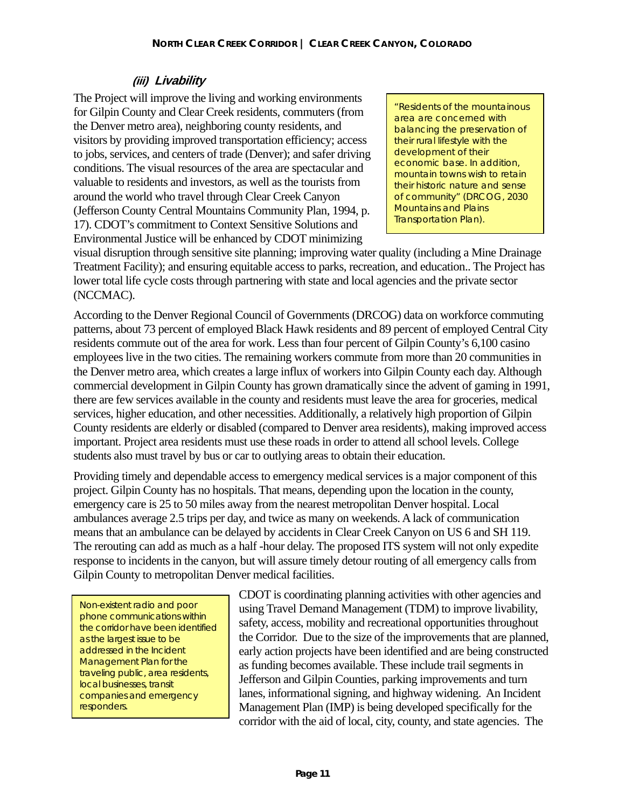#### **(iii) Livability**

The Project will improve the living and working environments for Gilpin County and Clear Creek residents, commuters (from the Denver metro area), neighboring county residents, and visitors by providing improved transportation efficiency; access to jobs, services, and centers of trade (Denver); and safer driving conditions. The visual resources of the area are spectacular and valuable to residents and investors, as well as the tourists from around the world who travel through Clear Creek Canyon (Jefferson County Central Mountains Community Plan, 1994, p. 17). CDOT's commitment to Context Sensitive Solutions and Environmental Justice will be enhanced by CDOT minimizing

"Residents of the mountainous area are concerned with balancing the preservation of their rural lifestyle with the development of their economic base. In addition, mountain towns wish to retain their historic nature and sense of community" (DRCOG, *2030 Mountains and Plains Transportation Plan*).

visual disruption through sensitive site planning; improving water quality (including a Mine Drainage Treatment Facility); and ensuring equitable access to parks, recreation, and education.. The Project has lower total life cycle costs through partnering with state and local agencies and the private sector (NCCMAC).

According to the Denver Regional Council of Governments (DRCOG) data on workforce commuting patterns, about 73 percent of employed Black Hawk residents and 89 percent of employed Central City residents commute out of the area for work. Less than four percent of Gilpin County's 6,100 casino employees live in the two cities. The remaining workers commute from more than 20 communities in the Denver metro area, which creates a large influx of workers into Gilpin County each day. Although commercial development in Gilpin County has grown dramatically since the advent of gaming in 1991, there are few services available in the county and residents must leave the area for groceries, medical services, higher education, and other necessities. Additionally, a relatively high proportion of Gilpin County residents are elderly or disabled (compared to Denver area residents), making improved access important. Project area residents must use these roads in order to attend all school levels. College students also must travel by bus or car to outlying areas to obtain their education.

Providing timely and dependable access to emergency medical services is a major component of this project. Gilpin County has no hospitals. That means, depending upon the location in the county, emergency care is 25 to 50 miles away from the nearest metropolitan Denver hospital. Local ambulances average 2.5 trips per day, and twice as many on weekends. A lack of communication means that an ambulance can be delayed by accidents in Clear Creek Canyon on US 6 and SH 119. The rerouting can add as much as a half -hour delay. The proposed ITS system will not only expedite response to incidents in the canyon, but will assure timely detour routing of all emergency calls from Gilpin County to metropolitan Denver medical facilities.

Non-existent radio and poor phone communications within the corridor have been identified as the largest issue to be addressed in the Incident Management Plan for the traveling public, area residents, local businesses, transit companies and emergency responders.

CDOT is coordinating planning activities with other agencies and using Travel Demand Management (TDM) to improve livability, safety, access, mobility and recreational opportunities throughout the Corridor. Due to the size of the improvements that are planned, early action projects have been identified and are being constructed as funding becomes available. These include trail segments in Jefferson and Gilpin Counties, parking improvements and turn lanes, informational signing, and highway widening. An Incident Management Plan (IMP) is being developed specifically for the corridor with the aid of local, city, county, and state agencies. The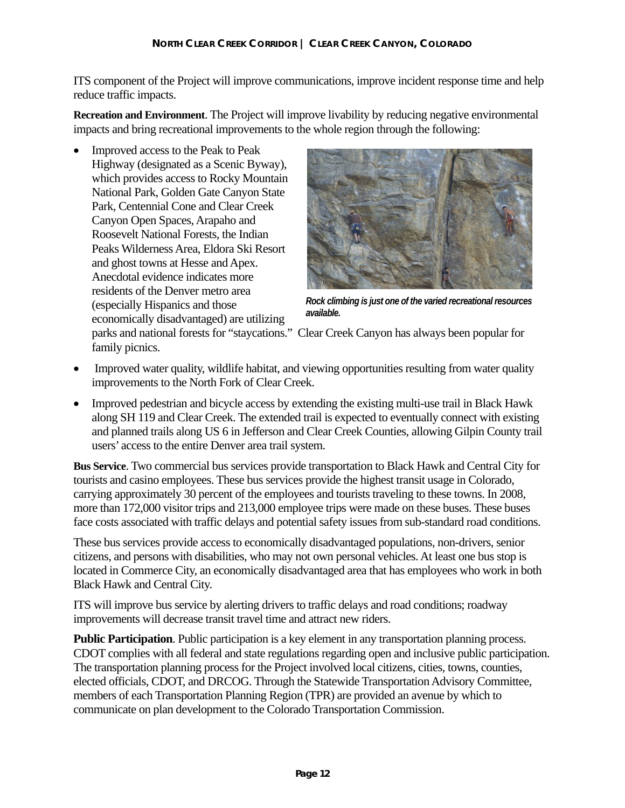ITS component of the Project will improve communications, improve incident response time and help reduce traffic impacts.

**Recreation and Environment**. The Project will improve livability by reducing negative environmental impacts and bring recreational improvements to the whole region through the following:

• Improved access to the Peak to Peak Highway (designated as a Scenic Byway), which provides access to Rocky Mountain National Park, Golden Gate Canyon State Park, Centennial Cone and Clear Creek Canyon Open Spaces, Arapaho and Roosevelt National Forests, the Indian Peaks Wilderness Area, Eldora Ski Resort and ghost towns at Hesse and Apex. Anecdotal evidence indicates more residents of the Denver metro area (especially Hispanics and those economically disadvantaged) are utilizing



*Rock climbing is just one of the varied recreational resources available.*

parks and national forests for "staycations." Clear Creek Canyon has always been popular for family picnics.

- Improved water quality, wildlife habitat, and viewing opportunities resulting from water quality improvements to the North Fork of Clear Creek.
- Improved pedestrian and bicycle access by extending the existing multi-use trail in Black Hawk along SH 119 and Clear Creek. The extended trail is expected to eventually connect with existing and planned trails along US 6 in Jefferson and Clear Creek Counties, allowing Gilpin County trail users' access to the entire Denver area trail system.

**Bus Service**. Two commercial bus services provide transportation to Black Hawk and Central City for tourists and casino employees. These bus services provide the highest transit usage in Colorado, carrying approximately 30 percent of the employees and tourists traveling to these towns. In 2008, more than 172,000 visitor trips and 213,000 employee trips were made on these buses. These buses face costs associated with traffic delays and potential safety issues from sub-standard road conditions.

These bus services provide access to economically disadvantaged populations, non-drivers, senior citizens, and persons with disabilities, who may not own personal vehicles. At least one bus stop is located in Commerce City, an economically disadvantaged area that has employees who work in both Black Hawk and Central City.

ITS will improve bus service by alerting drivers to traffic delays and road conditions; roadway improvements will decrease transit travel time and attract new riders.

**Public Participation**. Public participation is a key element in any transportation planning process. CDOT complies with all federal and state regulations regarding open and inclusive public participation. The transportation planning process for the Project involved local citizens, cities, towns, counties, elected officials, CDOT, and DRCOG. Through the Statewide Transportation Advisory Committee, members of each Transportation Planning Region (TPR) are provided an avenue by which to communicate on plan development to the Colorado Transportation Commission.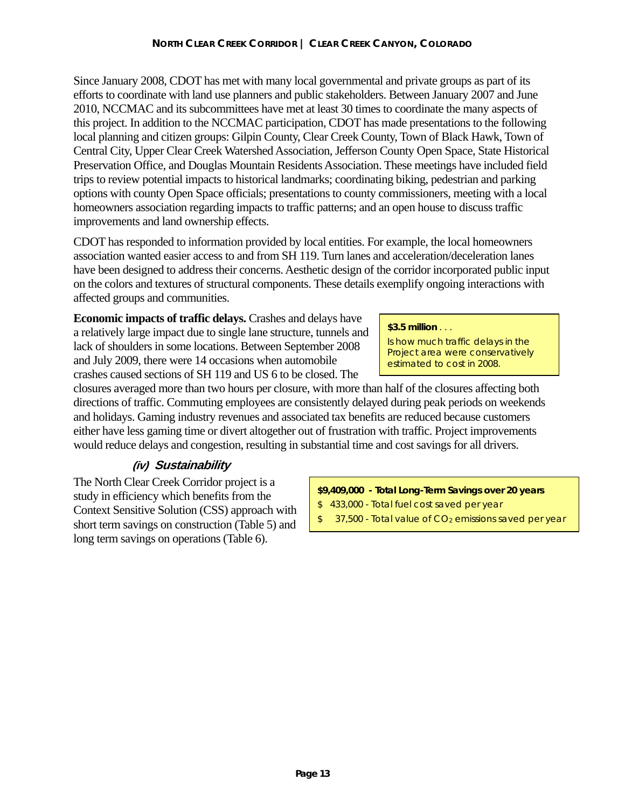Since January 2008, CDOT has met with many local governmental and private groups as part of its efforts to coordinate with land use planners and public stakeholders. Between January 2007 and June 2010, NCCMAC and its subcommittees have met at least 30 times to coordinate the many aspects of this project. In addition to the NCCMAC participation, CDOT has made presentations to the following local planning and citizen groups: Gilpin County, Clear Creek County, Town of Black Hawk, Town of Central City, Upper Clear Creek Watershed Association, Jefferson County Open Space, State Historical Preservation Office, and Douglas Mountain Residents Association. These meetings have included field trips to review potential impacts to historical landmarks; coordinating biking, pedestrian and parking options with county Open Space officials; presentations to county commissioners, meeting with a local homeowners association regarding impacts to traffic patterns; and an open house to discuss traffic improvements and land ownership effects.

CDOT has responded to information provided by local entities. For example, the local homeowners association wanted easier access to and from SH 119. Turn lanes and acceleration/deceleration lanes have been designed to address their concerns. Aesthetic design of the corridor incorporated public input on the colors and textures of structural components. These details exemplify ongoing interactions with affected groups and communities.

**Economic impacts of traffic delays.** Crashes and delays have a relatively large impact due to single lane structure, tunnels and lack of shoulders in some locations. Between September 2008 and July 2009, there were 14 occasions when automobile crashes caused sections of SH 119 and US 6 to be closed. The

#### **\$3.5 million** . . .

Is how much traffic delays in the Project area were conservatively estimated to cost in 2008.

closures averaged more than two hours per closure, with more than half of the closures affecting both directions of traffic. Commuting employees are consistently delayed during peak periods on weekends and holidays. Gaming industry revenues and associated tax benefits are reduced because customers either have less gaming time or divert altogether out of frustration with traffic. Project improvements would reduce delays and congestion, resulting in substantial time and cost savings for all drivers.

# **(iv) Sustainability**

The North Clear Creek Corridor project is a study in efficiency which benefits from the Context Sensitive Solution (CSS) approach with short term savings on construction (Table 5) and long term savings on operations (Table 6).

#### **\$9,409,000 - Total Long-Term Savings over 20 years**

- \$ 433,000 Total fuel cost saved per year
- \$ 37,500 Total value of CO<sub>2</sub> emissions saved per year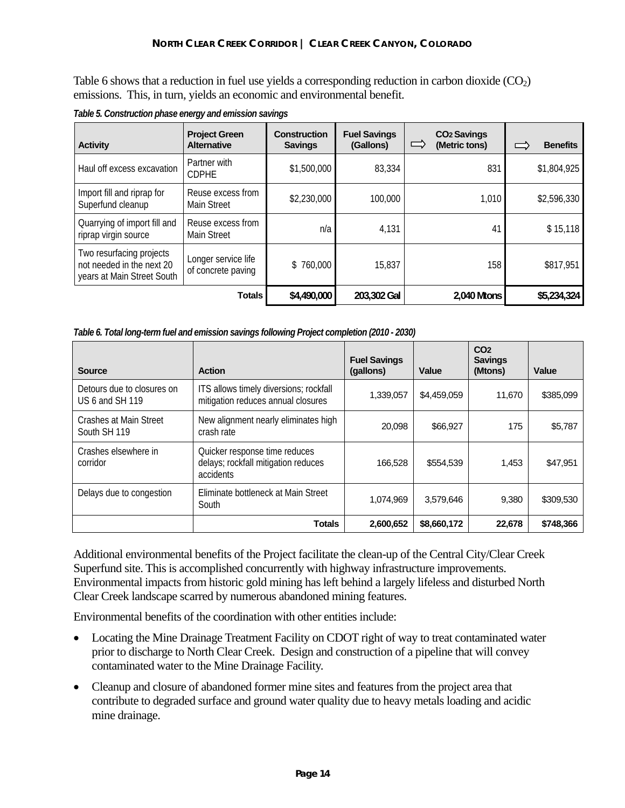Table 6 shows that a reduction in fuel use yields a corresponding reduction in carbon dioxide  $(CO<sub>2</sub>)$ emissions. This, in turn, yields an economic and environmental benefit.

| <b>Activity</b>                                                                     | <b>Project Green</b><br><b>Alternative</b> | <b>Construction</b><br><b>Savings</b> | <b>Fuel Savings</b><br>(Gallons) | <b>CO<sub>2</sub> Savings</b><br>$\Rightarrow$<br>(Metric tons) | <b>Benefits</b> |
|-------------------------------------------------------------------------------------|--------------------------------------------|---------------------------------------|----------------------------------|-----------------------------------------------------------------|-----------------|
| Haul off excess excavation                                                          | Partner with<br><b>CDPHE</b>               | \$1,500,000                           | 83,334                           | 831                                                             | \$1,804,925     |
| Import fill and riprap for<br>Superfund cleanup                                     | Reuse excess from<br>Main Street           | \$2,230,000                           | 100,000                          | 1,010                                                           | \$2,596,330     |
| Quarrying of import fill and<br>riprap virgin source                                | Reuse excess from<br><b>Main Street</b>    | n/a                                   | 4,131                            | 41                                                              | \$15,118        |
| Two resurfacing projects<br>not needed in the next 20<br>years at Main Street South | Longer service life<br>of concrete paving  | \$760,000                             | 15,837                           | 158                                                             | \$817,951       |
|                                                                                     | <b>Totals</b>                              | \$4,490,000                           | 203,302 Gal                      | 2.040 Mtons                                                     | \$5,234,324     |

*Table 5. Construction phase energy and emission savings* 

| Table 6. Total long-term fuel and emission savings following Project completion (2010 - 2030) |  |  |  |
|-----------------------------------------------------------------------------------------------|--|--|--|
|                                                                                               |  |  |  |

| <b>Source</b>                                 | <b>Action</b>                                                                     | <b>Fuel Savings</b><br>(gallons) | Value       | CO <sub>2</sub><br><b>Savings</b><br>(Mtons) | Value     |
|-----------------------------------------------|-----------------------------------------------------------------------------------|----------------------------------|-------------|----------------------------------------------|-----------|
| Detours due to closures on<br>US 6 and SH 119 | ITS allows timely diversions; rockfall<br>mitigation reduces annual closures      | 1,339,057                        | \$4,459,059 | 11.670                                       | \$385,099 |
| Crashes at Main Street<br>South SH 119        | New alignment nearly eliminates high<br>crash rate                                | \$66,927<br>20.098               |             | 175                                          | \$5,787   |
| Crashes elsewhere in<br>corridor              | Quicker response time reduces<br>delays; rockfall mitigation reduces<br>accidents | 166.528                          | \$554.539   | 1,453                                        | \$47.951  |
| Delays due to congestion                      | Eliminate bottleneck at Main Street<br>South                                      | 1,074,969                        | 3,579,646   | 9,380                                        | \$309,530 |
|                                               | <b>Totals</b>                                                                     | 2,600,652                        | \$8,660,172 | 22,678                                       | \$748,366 |

Additional environmental benefits of the Project facilitate the clean-up of the Central City/Clear Creek Superfund site. This is accomplished concurrently with highway infrastructure improvements. Environmental impacts from historic gold mining has left behind a largely lifeless and disturbed North Clear Creek landscape scarred by numerous abandoned mining features.

Environmental benefits of the coordination with other entities include:

- Locating the Mine Drainage Treatment Facility on CDOT right of way to treat contaminated water prior to discharge to North Clear Creek. Design and construction of a pipeline that will convey contaminated water to the Mine Drainage Facility.
- Cleanup and closure of abandoned former mine sites and features from the project area that contribute to degraded surface and ground water quality due to heavy metals loading and acidic mine drainage.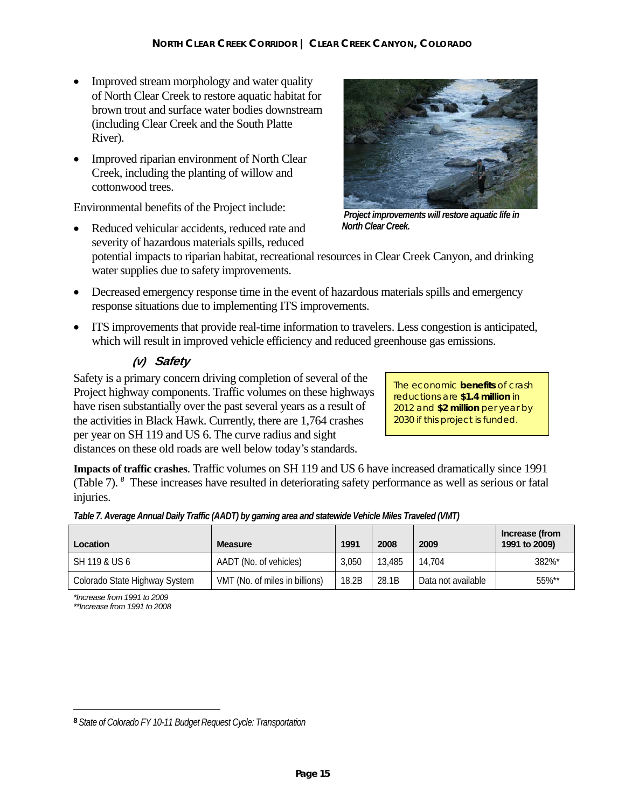- Improved stream morphology and water quality of North Clear Creek to restore aquatic habitat for brown trout and surface water bodies downstream (including Clear Creek and the South Platte River).
- Improved riparian environment of North Clear Creek, including the planting of willow and cottonwood trees.

Environmental benefits of the Project include:

Reduced vehicular accidents, reduced rate and severity of hazardous materials spills, reduced



 *Project improvements will restore aquatic life in North Clear Creek.* 

potential impacts to riparian habitat, recreational resources in Clear Creek Canyon, and drinking water supplies due to safety improvements.

- Decreased emergency response time in the event of hazardous materials spills and emergency response situations due to implementing ITS improvements.
- ITS improvements that provide real-time information to travelers. Less congestion is anticipated, which will result in improved vehicle efficiency and reduced greenhouse gas emissions.

#### **(v) Safety**

Safety is a primary concern driving completion of several of the Project highway components. Traffic volumes on these highways have risen substantially over the past several years as a result of the activities in Black Hawk. Currently, there are 1,764 crashes per year on SH 119 and US 6. The curve radius and sight distances on these old roads are well below today's standards.

The economic **benefits** of crash reductions are **\$1.4 million** in 2012 and **\$2 million** per year by 2030 if this project is funded.

**Impacts of traffic crashes**. Traffic volumes on SH 119 and US 6 have increased dramatically since 1991 (Table 7). <sup>8</sup> These increases have resulted in deteriorating safety performance as well as serious or fatal injuries.

| Location                      | <b>Measure</b>                 | 1991  | 2008   | 2009               | Increase (from<br>1991 to 2009) |
|-------------------------------|--------------------------------|-------|--------|--------------------|---------------------------------|
| l SH 119 & US 6               | AADT (No. of vehicles)         | 3.050 | 13,485 | 14.704             | 382%*                           |
| Colorado State Highway System | VMT (No. of miles in billions) | 18.2B | 28.1B  | Data not available | 55%**                           |

*Table 7. Average Annual Daily Traffic (AADT) by gaming area and statewide Vehicle Miles Traveled (VMT)* 

*\*Increase from 1991 to 2009* 

*\*\*Increase from 1991 to 2008* 

 $\overline{a}$ 

**<sup>8</sup>** *State of Colorado FY 10-11 Budget Request Cycle: Transportation*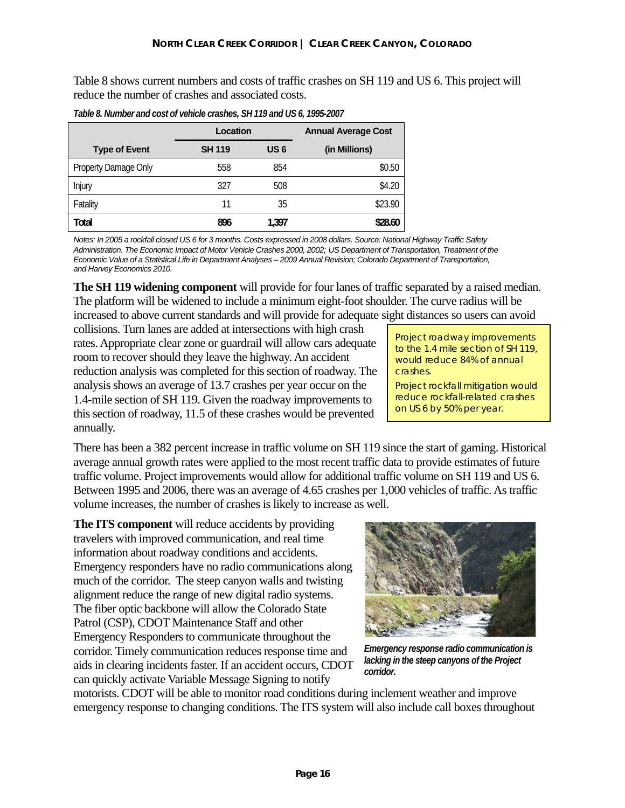Table 8 shows current numbers and costs of traffic crashes on SH 119 and US 6. This project will reduce the number of crashes and associated costs.

|                      | Location      |                 | <b>Annual Average Cost</b> |  |
|----------------------|---------------|-----------------|----------------------------|--|
| <b>Type of Event</b> | <b>SH 119</b> | US <sub>6</sub> | (in Millions)              |  |
| Property Damage Only | 558           | 854             | \$0.50                     |  |
| Injury               | 327           | 508             | \$4.20                     |  |
| Fatality             | 11            | 35              | \$23.90                    |  |
| Total                | 896           | 1.397           | \$28.60                    |  |

*Table 8. Number and cost of vehicle crashes, SH 119 and US 6, 1995-2007* 

*Notes: In 2005 a rockfall closed US 6 for 3 months. Costs expressed in 2008 dollars. Source: National Highway Traffic Safety Administration. The Economic Impact of Motor Vehicle Crashes 2000, 2002; US Department of Transportation, Treatment of the Economic Value of a Statistical Life in Department Analyses – 2009 Annual Revision; Colorado Department of Transportation, and Harvey Economics 2010.* 

**The SH 119 widening component** will provide for four lanes of traffic separated by a raised median. The platform will be widened to include a minimum eight-foot shoulder. The curve radius will be increased to above current standards and will provide for adequate sight distances so users can avoid

collisions. Turn lanes are added at intersections with high crash rates. Appropriate clear zone or guardrail will allow cars adequate room to recover should they leave the highway. An accident reduction analysis was completed for this section of roadway. The analysis shows an average of 13.7 crashes per year occur on the 1.4-mile section of SH 119. Given the roadway improvements to this section of roadway, 11.5 of these crashes would be prevented annually.

Project roadway improvements to the 1.4 mile section of SH 119, would reduce 84% of annual crashes.

Project rockfall mitigation would reduce rockfall-related crashes on US 6 by 50% per year.

There has been a 382 percent increase in traffic volume on SH 119 since the start of gaming. Historical average annual growth rates were applied to the most recent traffic data to provide estimates of future traffic volume. Project improvements would allow for additional traffic volume on SH 119 and US 6. Between 1995 and 2006, there was an average of 4.65 crashes per 1,000 vehicles of traffic. As traffic volume increases, the number of crashes is likely to increase as well.

**The ITS component** will reduce accidents by providing travelers with improved communication, and real time information about roadway conditions and accidents. Emergency responders have no radio communications along much of the corridor. The steep canyon walls and twisting alignment reduce the range of new digital radio systems. The fiber optic backbone will allow the Colorado State Patrol (CSP), CDOT Maintenance Staff and other Emergency Responders to communicate throughout the corridor. Timely communication reduces response time and aids in clearing incidents faster. If an accident occurs, CDOT can quickly activate Variable Message Signing to notify



*Emergency response radio communication is lacking in the steep canyons of the Project corridor.* 

motorists. CDOT will be able to monitor road conditions during inclement weather and improve emergency response to changing conditions. The ITS system will also include call boxes throughout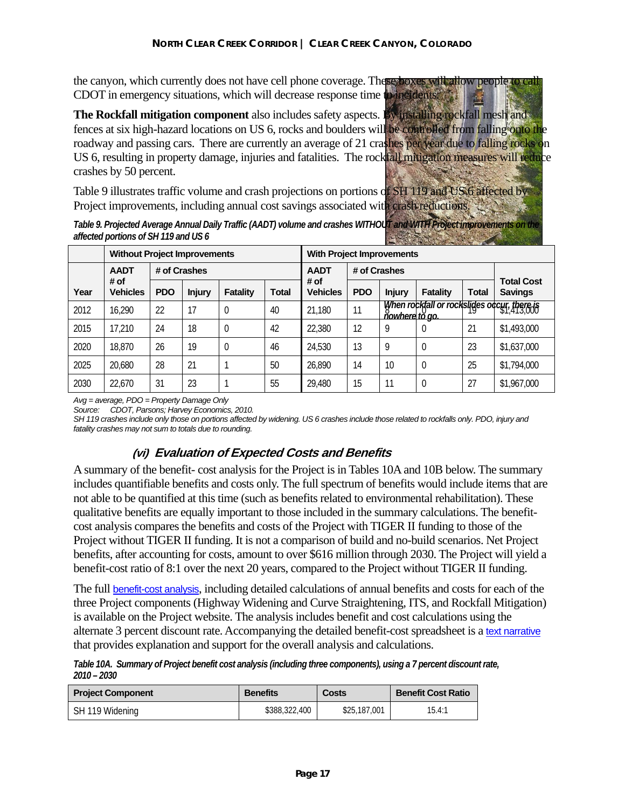the canyon, which currently does not have cell phone coverage. These boxes will allow people to call CDOT in emergency situations, which will decrease response time to incidents.

The Rockfall mitigation component also includes safety aspects. By installing rockfall mesh and fences at six high-hazard locations on US 6, rocks and boulders will be controlled from falling onto the roadway and passing cars. There are currently an average of 21 crashes per year due to falling rocks on US 6, resulting in property damage, injuries and fatalities. The rockfall mitigation measures will reduce crashes by 50 percent.

Table 9 illustrates traffic volume and crash projections on portions of SH 119 and US 6 affected by Project improvements, including annual cost savings associated with crash reductions.

*Table 9. Projected Average Annual Daily Traffic (AADT) volume and crashes WITHOUT and WITH Project improvements affected portions of SH 119 and US 6* 

|      | <b>Without Project Improvements</b> |            |               | <b>With Project Improvements</b> |              |                         |            |                       |          |       |                                             |
|------|-------------------------------------|------------|---------------|----------------------------------|--------------|-------------------------|------------|-----------------------|----------|-------|---------------------------------------------|
|      | # of Crashes<br><b>AADT</b>         |            |               | # of Crashes<br><b>AADT</b>      |              |                         |            |                       |          |       |                                             |
| Year | # of<br><b>Vehicles</b>             | <b>PDO</b> | <b>Injury</b> | Fatality                         | <b>Total</b> | # of<br><b>Vehicles</b> | <b>PDO</b> | <b>Injury</b>         | Fatality | Total | <b>Total Cost</b><br><b>Savings</b>         |
| 2012 | 16,290                              | 22         | 17            | $\overline{0}$                   | 40           | 21,180                  | 11         | <u>ňowhere tŏ ao.</u> |          |       | when rockfall or rocksliges occur, there is |
| 2015 | 17,210                              | 24         | 18            | $\overline{0}$                   | 42           | 22,380                  | 12         | 9                     | $\theta$ | 21    | \$1,493,000                                 |
| 2020 | 18,870                              | 26         | 19            | $\overline{0}$                   | 46           | 24,530                  | 13         | 9                     | $\theta$ | 23    | \$1,637,000                                 |
| 2025 | 20,680                              | 28         | 21            |                                  | 50           | 26,890                  | 14         | 10                    | $\theta$ | 25    | \$1,794,000                                 |
| 2030 | 22,670                              | 31         | 23            |                                  | 55           | 29,480                  | 15         | 11                    | $\theta$ | 27    | \$1,967,000                                 |

*Avg = average, PDO = Property Damage Only* 

*Source: CDOT, Parsons; Harvey Economics, 2010.* 

*SH 119 crashes include only those on portions affected by widening. US 6 crashes include those related to rockfalls only. PDO, injury and fatality crashes may not sum to totals due to rounding.* 

#### **(vi) Evaluation of Expected Costs and Benefits**

A summary of the benefit- cost analysis for the Project is in Tables 10A and 10B below. The summary includes quantifiable benefits and costs only. The full spectrum of benefits would include items that are not able to be quantified at this time (such as benefits related to environmental rehabilitation). These qualitative benefits are equally important to those included in the summary calculations. The benefitcost analysis compares the benefits and costs of the Project with TIGER II funding to those of the Project without TIGER II funding. It is not a comparison of build and no-build scenarios. Net Project benefits, after accounting for costs, amount to over \$616 million through 2030. The Project will yield a benefit-cost ratio of 8:1 over the next 20 years, compared to the Project without TIGER II funding.

The full benefit-cost analysis, including detailed calculations of annual benefits and costs for each of the three Project components (Highway Widening and Curve Straightening, ITS, and Rockfall Mitigation) is available on the Project website. The analysis includes benefit and cost calculations using the alternate 3 percent discount rate. Accompanying the detailed benefit-cost spreadsheet is a text narrative that provides explanation and support for the overall analysis and calculations.

*Table 10A. Summary of Project benefit cost analysis (including three components), using a 7 percent discount rate, 2010 – 2030* 

| <b>Project Component</b> | <b>Benefits</b> | Costs        | <b>Benefit Cost Ratio</b> |
|--------------------------|-----------------|--------------|---------------------------|
| SH 119 Widening          | \$388,322,400   | \$25,187,001 | 15.4:1                    |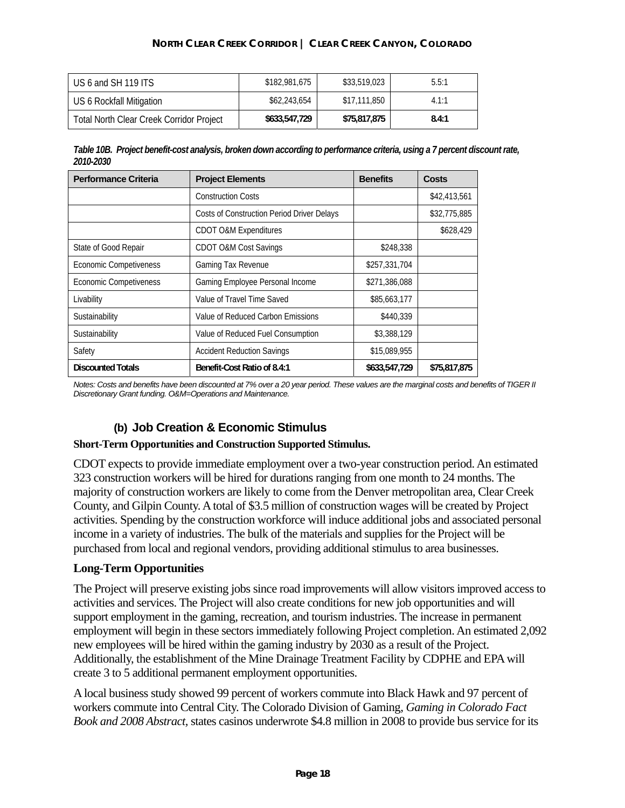| US 6 and SH 119 ITS                             | \$182,981,675 | \$33,519,023 | 5.5:1 |
|-------------------------------------------------|---------------|--------------|-------|
| US 6 Rockfall Mitigation                        | \$62,243,654  | \$17,111,850 | 4.1:1 |
| <b>Total North Clear Creek Corridor Project</b> | \$633,547,729 | \$75,817,875 | 8.4:1 |

*Table 10B. Project benefit-cost analysis, broken down according to performance criteria, using a 7 percent discount rate, 2010-2030* 

| <b>Performance Criteria</b>   | <b>Project Elements</b>                    | <b>Benefits</b> | <b>Costs</b> |
|-------------------------------|--------------------------------------------|-----------------|--------------|
|                               | <b>Construction Costs</b>                  |                 | \$42,413,561 |
|                               | Costs of Construction Period Driver Delays |                 | \$32,775,885 |
|                               | <b>CDOT O&amp;M Expenditures</b>           |                 | \$628,429    |
| State of Good Repair          | CDOT O&M Cost Savings                      | \$248,338       |              |
| <b>Economic Competiveness</b> | Gaming Tax Revenue                         | \$257,331,704   |              |
| <b>Economic Competiveness</b> | Gaming Employee Personal Income            | \$271,386,088   |              |
| Livability                    | Value of Travel Time Saved                 | \$85,663,177    |              |
| Sustainability                | Value of Reduced Carbon Emissions          | \$440,339       |              |
| Sustainability                | Value of Reduced Fuel Consumption          | \$3,388,129     |              |
| Safety                        | <b>Accident Reduction Savings</b>          | \$15,089,955    |              |
| <b>Discounted Totals</b>      | Benefit-Cost Ratio of 8.4:1                | \$633,547,729   | \$75,817,875 |

*Notes: Costs and benefits have been discounted at 7% over a 20 year period. These values are the marginal costs and benefits of TIGER II Discretionary Grant funding. O&M=Operations and Maintenance.* 

#### **(b) Job Creation & Economic Stimulus**

#### **Short-Term Opportunities and Construction Supported Stimulus.**

CDOT expects to provide immediate employment over a two-year construction period. An estimated 323 construction workers will be hired for durations ranging from one month to 24 months. The majority of construction workers are likely to come from the Denver metropolitan area, Clear Creek County, and Gilpin County. A total of \$3.5 million of construction wages will be created by Project activities. Spending by the construction workforce will induce additional jobs and associated personal income in a variety of industries. The bulk of the materials and supplies for the Project will be purchased from local and regional vendors, providing additional stimulus to area businesses.

#### **Long-Term Opportunities**

The Project will preserve existing jobs since road improvements will allow visitors improved access to activities and services. The Project will also create conditions for new job opportunities and will support employment in the gaming, recreation, and tourism industries. The increase in permanent employment will begin in these sectors immediately following Project completion. An estimated 2,092 new employees will be hired within the gaming industry by 2030 as a result of the Project. Additionally, the establishment of the Mine Drainage Treatment Facility by CDPHE and EPA will create 3 to 5 additional permanent employment opportunities.

A local business study showed 99 percent of workers commute into Black Hawk and 97 percent of workers commute into Central City. The Colorado Division of Gaming, *Gaming in Colorado Fact Book and 2008 Abstract,* states casinos underwrote \$4.8 million in 2008 to provide bus service for its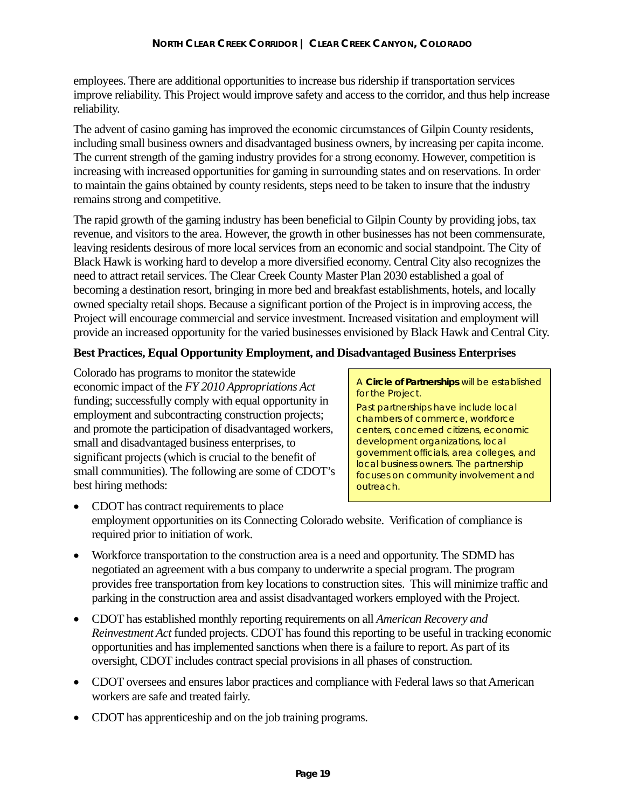employees. There are additional opportunities to increase bus ridership if transportation services improve reliability. This Project would improve safety and access to the corridor, and thus help increase reliability.

The advent of casino gaming has improved the economic circumstances of Gilpin County residents, including small business owners and disadvantaged business owners, by increasing per capita income. The current strength of the gaming industry provides for a strong economy. However, competition is increasing with increased opportunities for gaming in surrounding states and on reservations. In order to maintain the gains obtained by county residents, steps need to be taken to insure that the industry remains strong and competitive.

The rapid growth of the gaming industry has been beneficial to Gilpin County by providing jobs, tax revenue, and visitors to the area. However, the growth in other businesses has not been commensurate, leaving residents desirous of more local services from an economic and social standpoint. The City of Black Hawk is working hard to develop a more diversified economy. Central City also recognizes the need to attract retail services. The Clear Creek County Master Plan 2030 established a goal of becoming a destination resort, bringing in more bed and breakfast establishments, hotels, and locally owned specialty retail shops. Because a significant portion of the Project is in improving access, the Project will encourage commercial and service investment. Increased visitation and employment will provide an increased opportunity for the varied businesses envisioned by Black Hawk and Central City.

#### **Best Practices, Equal Opportunity Employment, and Disadvantaged Business Enterprises**

Colorado has programs to monitor the statewide economic impact of the *FY 2010 Appropriations Act* funding; successfully comply with equal opportunity in employment and subcontracting construction projects; and promote the participation of disadvantaged workers, small and disadvantaged business enterprises, to significant projects (which is crucial to the benefit of small communities). The following are some of CDOT's best hiring methods:

A *Circle of Partnerships* will be established for the Project.

Past partnerships have include local chambers of commerce, workforce centers, concerned citizens, economic development organizations, local government officials, area colleges, and local business owners. The partnership focuses on community involvement and outreach.

- CDOT has contract requirements to place employment opportunities on its Connecting Colorado website. Verification of compliance is required prior to initiation of work.
- Workforce transportation to the construction area is a need and opportunity. The SDMD has negotiated an agreement with a bus company to underwrite a special program. The program provides free transportation from key locations to construction sites. This will minimize traffic and parking in the construction area and assist disadvantaged workers employed with the Project.
- CDOT has established monthly reporting requirements on all *American Recovery and Reinvestment Act* funded projects. CDOT has found this reporting to be useful in tracking economic opportunities and has implemented sanctions when there is a failure to report. As part of its oversight, CDOT includes contract special provisions in all phases of construction.
- CDOT oversees and ensures labor practices and compliance with Federal laws so that American workers are safe and treated fairly.
- CDOT has apprenticeship and on the job training programs.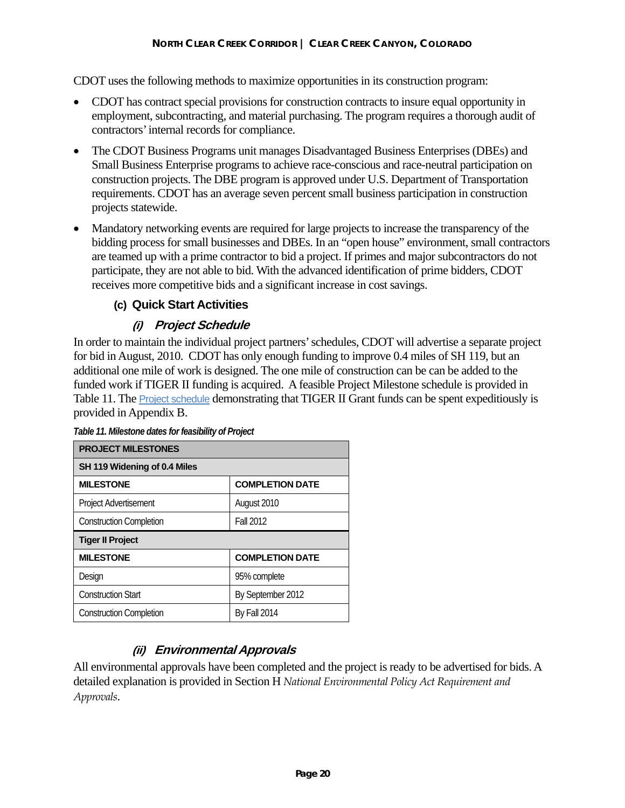CDOT uses the following methods to maximize opportunities in its construction program:

- CDOT has contract special provisions for construction contracts to insure equal opportunity in employment, subcontracting, and material purchasing. The program requires a thorough audit of contractors' internal records for compliance.
- The CDOT Business Programs unit manages Disadvantaged Business Enterprises (DBEs) and Small Business Enterprise programs to achieve race-conscious and race-neutral participation on construction projects. The DBE program is approved under U.S. Department of Transportation requirements. CDOT has an average seven percent small business participation in construction projects statewide.
- Mandatory networking events are required for large projects to increase the transparency of the bidding process for small businesses and DBEs. In an "open house" environment, small contractors are teamed up with a prime contractor to bid a project. If primes and major subcontractors do not participate, they are not able to bid. With the advanced identification of prime bidders, CDOT receives more competitive bids and a significant increase in cost savings.

## **(c) Quick Start Activities**

# **(i) Project Schedule**

In order to maintain the individual project partners' schedules, CDOT will advertise a separate project for bid in August, 2010. CDOT has only enough funding to improve 0.4 miles of SH 119, but an additional one mile of work is designed. The one mile of construction can be can be added to the funded work if TIGER II funding is acquired. A feasible Project Milestone schedule is provided in Table 11. The **Project schedule demonstrating that TIGER II Grant funds can be spent expeditiously is** provided in Appendix B.

| <b>PROJECT MILESTONES</b>      |                        |  |  |  |
|--------------------------------|------------------------|--|--|--|
| SH 119 Widening of 0.4 Miles   |                        |  |  |  |
| <b>MILESTONE</b>               | <b>COMPLETION DATE</b> |  |  |  |
| Project Advertisement          | August 2010            |  |  |  |
| <b>Construction Completion</b> | <b>Fall 2012</b>       |  |  |  |
| <b>Tiger II Project</b>        |                        |  |  |  |
| <b>MILESTONE</b>               | <b>COMPLETION DATE</b> |  |  |  |
| Design                         | 95% complete           |  |  |  |
| <b>Construction Start</b>      | By September 2012      |  |  |  |
| <b>Construction Completion</b> | <b>By Fall 2014</b>    |  |  |  |

*Table 11. Milestone dates for feasibility of Project* 

# **(ii) Environmental Approvals**

All environmental approvals have been completed and the project is ready to be advertised for bids. A detailed explanation is provided in Section H *National Environmental Policy Act Requirement and Approvals*.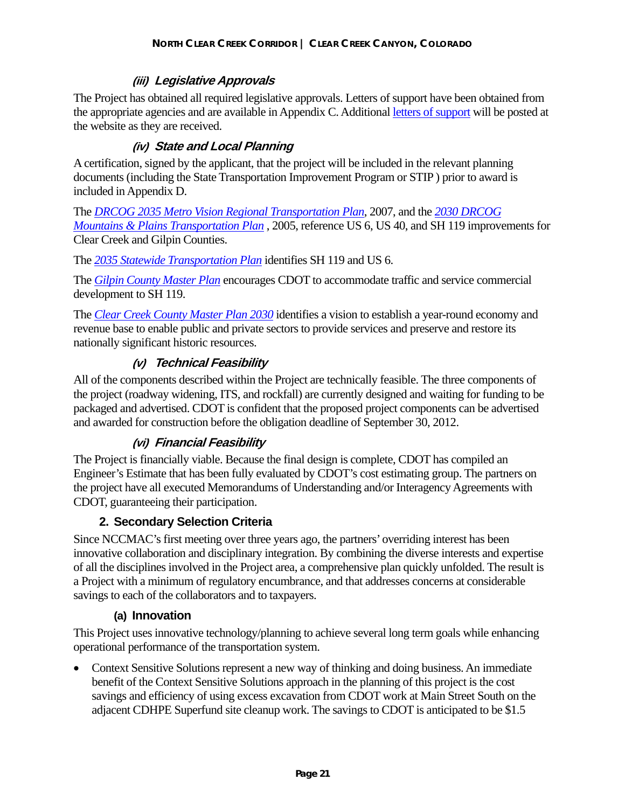### **(iii) Legislative Approvals**

The Project has obtained all required legislative approvals. Letters of support have been obtained from the appropriate agencies and are available in Appendix C. Additional letters of support will be posted at the website as they are received.

### **(iv) State and Local Planning**

A certification, signed by the applicant, that the project will be included in the relevant planning documents (including the State Transportation Improvement Program or STIP ) prior to award is included in Appendix D.

The *DRCOG 2035 Metro Vision Regional Transportation Plan*, 2007, and the *2030 DRCOG Mountains & Plains Transportation Plan* , 2005, reference US 6, US 40, and SH 119 improvements for Clear Creek and Gilpin Counties.

The *2035 Statewide Transportation Plan* identifies SH 119 and US 6.

The *Gilpin County Master Plan* encourages CDOT to accommodate traffic and service commercial development to SH 119.

The *Clear Creek County Master Plan 2030* identifies a vision to establish a year-round economy and revenue base to enable public and private sectors to provide services and preserve and restore its nationally significant historic resources.

#### **(v) Technical Feasibility**

All of the components described within the Project are technically feasible. The three components of the project (roadway widening, ITS, and rockfall) are currently designed and waiting for funding to be packaged and advertised. CDOT is confident that the proposed project components can be advertised and awarded for construction before the obligation deadline of September 30, 2012.

#### **(vi) Financial Feasibility**

The Project is financially viable. Because the final design is complete, CDOT has compiled an Engineer's Estimate that has been fully evaluated by CDOT's cost estimating group. The partners on the project have all executed Memorandums of Understanding and/or Interagency Agreements with CDOT, guaranteeing their participation.

#### **2. Secondary Selection Criteria**

Since NCCMAC's first meeting over three years ago, the partners' overriding interest has been innovative collaboration and disciplinary integration. By combining the diverse interests and expertise of all the disciplines involved in the Project area, a comprehensive plan quickly unfolded. The result is a Project with a minimum of regulatory encumbrance, and that addresses concerns at considerable savings to each of the collaborators and to taxpayers.

#### **(a) Innovation**

This Project uses innovative technology/planning to achieve several long term goals while enhancing operational performance of the transportation system.

• Context Sensitive Solutions represent a new way of thinking and doing business. An immediate benefit of the Context Sensitive Solutions approach in the planning of this project is the cost savings and efficiency of using excess excavation from CDOT work at Main Street South on the adjacent CDHPE Superfund site cleanup work. The savings to CDOT is anticipated to be \$1.5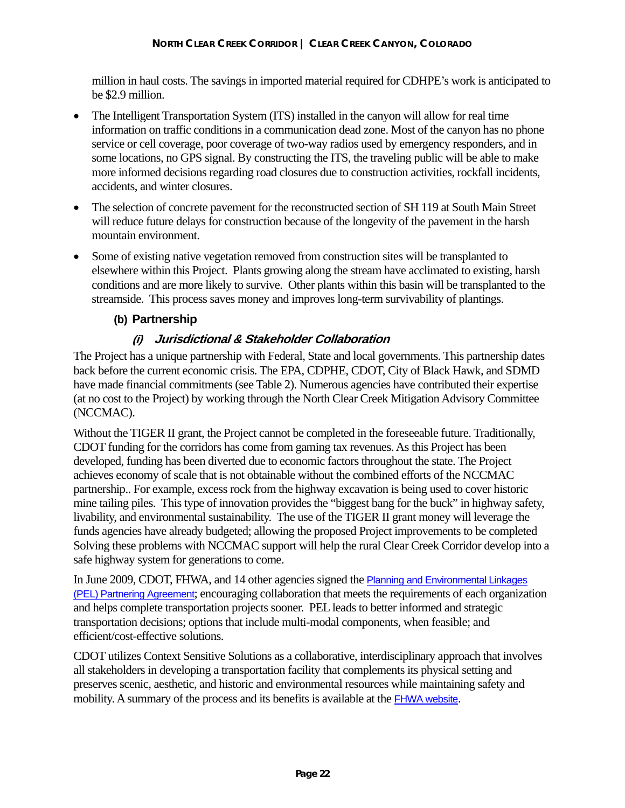million in haul costs. The savings in imported material required for CDHPE's work is anticipated to be \$2.9 million.

- The Intelligent Transportation System (ITS) installed in the canyon will allow for real time information on traffic conditions in a communication dead zone. Most of the canyon has no phone service or cell coverage, poor coverage of two-way radios used by emergency responders, and in some locations, no GPS signal. By constructing the ITS, the traveling public will be able to make more informed decisions regarding road closures due to construction activities, rockfall incidents, accidents, and winter closures.
- The selection of concrete pavement for the reconstructed section of SH 119 at South Main Street will reduce future delays for construction because of the longevity of the pavement in the harsh mountain environment.
- Some of existing native vegetation removed from construction sites will be transplanted to elsewhere within this Project. Plants growing along the stream have acclimated to existing, harsh conditions and are more likely to survive. Other plants within this basin will be transplanted to the streamside. This process saves money and improves long-term survivability of plantings.

#### **(b) Partnership**

## **(i) Jurisdictional & Stakeholder Collaboration**

The Project has a unique partnership with Federal, State and local governments. This partnership dates back before the current economic crisis. The EPA, CDPHE, CDOT, City of Black Hawk, and SDMD have made financial commitments (see Table 2). Numerous agencies have contributed their expertise (at no cost to the Project) by working through the North Clear Creek Mitigation Advisory Committee (NCCMAC).

Without the TIGER II grant, the Project cannot be completed in the foreseeable future. Traditionally, CDOT funding for the corridors has come from gaming tax revenues. As this Project has been developed, funding has been diverted due to economic factors throughout the state. The Project achieves economy of scale that is not obtainable without the combined efforts of the NCCMAC partnership.. For example, excess rock from the highway excavation is being used to cover historic mine tailing piles. This type of innovation provides the "biggest bang for the buck" in highway safety, livability, and environmental sustainability. The use of the TIGER II grant money will leverage the funds agencies have already budgeted; allowing the proposed Project improvements to be completed Solving these problems with NCCMAC support will help the rural Clear Creek Corridor develop into a safe highway system for generations to come.

In June 2009, CDOT, FHWA, and 14 other agencies signed the Planning and Environmental Linkages (PEL) Partnering Agreement; encouraging collaboration that meets the requirements of each organization and helps complete transportation projects sooner. PEL leads to better informed and strategic transportation decisions; options that include multi-modal components, when feasible; and efficient/cost-effective solutions.

CDOT utilizes Context Sensitive Solutions as a collaborative, interdisciplinary approach that involves all stakeholders in developing a transportation facility that complements its physical setting and preserves scenic, aesthetic, and historic and environmental resources while maintaining safety and mobility. A summary of the process and its benefits is available at the FHWA website.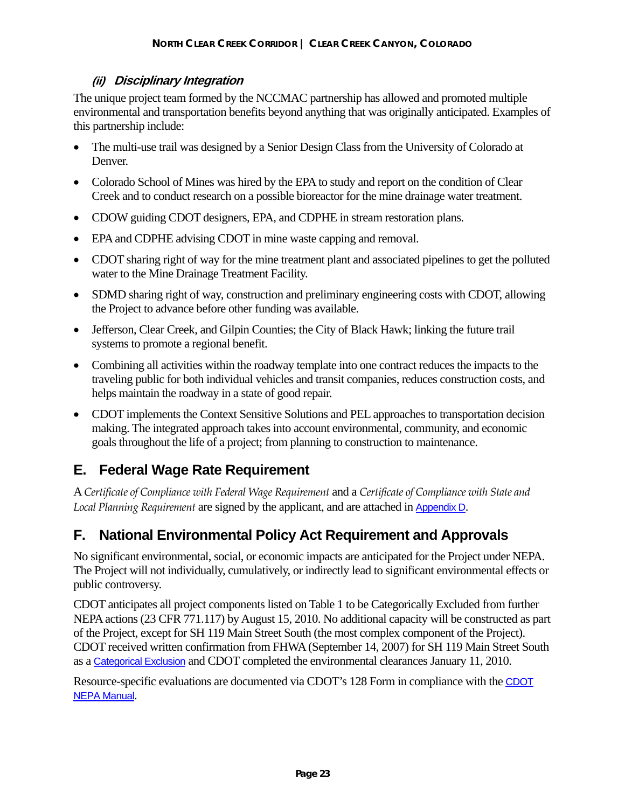## **(ii) Disciplinary Integration**

The unique project team formed by the NCCMAC partnership has allowed and promoted multiple environmental and transportation benefits beyond anything that was originally anticipated. Examples of this partnership include:

- The multi-use trail was designed by a Senior Design Class from the University of Colorado at Denver.
- Colorado School of Mines was hired by the EPA to study and report on the condition of Clear Creek and to conduct research on a possible bioreactor for the mine drainage water treatment.
- CDOW guiding CDOT designers, EPA, and CDPHE in stream restoration plans.
- EPA and CDPHE advising CDOT in mine waste capping and removal.
- CDOT sharing right of way for the mine treatment plant and associated pipelines to get the polluted water to the Mine Drainage Treatment Facility.
- SDMD sharing right of way, construction and preliminary engineering costs with CDOT, allowing the Project to advance before other funding was available.
- Jefferson, Clear Creek, and Gilpin Counties; the City of Black Hawk; linking the future trail systems to promote a regional benefit.
- Combining all activities within the roadway template into one contract reduces the impacts to the traveling public for both individual vehicles and transit companies, reduces construction costs, and helps maintain the roadway in a state of good repair.
- CDOT implements the Context Sensitive Solutions and PEL approaches to transportation decision making. The integrated approach takes into account environmental, community, and economic goals throughout the life of a project; from planning to construction to maintenance.

# **E. Federal Wage Rate Requirement**

A *Certificate of Compliance with Federal Wage Requirement* and a *Certificate of Compliance with State and Local Planning Requirement* are signed by the applicant, and are attached in Appendix D.

# **F. National Environmental Policy Act Requirement and Approvals**

No significant environmental, social, or economic impacts are anticipated for the Project under NEPA. The Project will not individually, cumulatively, or indirectly lead to significant environmental effects or public controversy.

CDOT anticipates all project components listed on Table 1 to be Categorically Excluded from further NEPA actions (23 CFR 771.117) by August 15, 2010. No additional capacity will be constructed as part of the Project, except for SH 119 Main Street South (the most complex component of the Project). CDOT received written confirmation from FHWA (September 14, 2007) for SH 119 Main Street South as a Categorical Exclusion and CDOT completed the environmental clearances January 11, 2010.

Resource-specific evaluations are documented via CDOT's 128 Form in compliance with the CDOT NEPA Manual.